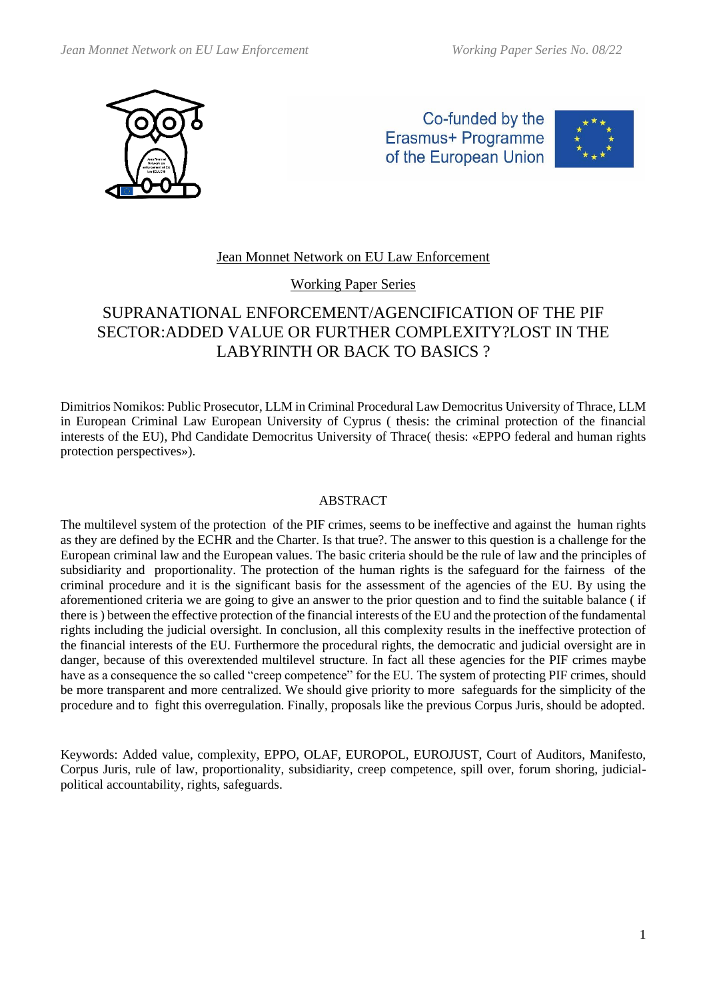

Co-funded by the Erasmus+ Programme of the European Union



## Jean Monnet Network on EU Law Enforcement

Working Paper Series

# SUPRANATIONAL ENFORCEMENT/AGENCIFICATION OF THE PIF SECTOR:ADDED VALUE OR FURTHER COMPLEXITY?LOST IN THE LABYRINTH OR BACK TO BASICS ?

Dimitrios Nomikos: Public Prosecutor, LLM in Criminal Procedural Law Democritus University of Thrace, LLM in European Criminal Law European University of Cyprus ( thesis: the criminal protection of the financial interests of the EU), Phd Candidate Democritus University of Thrace( thesis: «EPPO federal and human rights protection perspectives»).

#### ABSTRACT

The multilevel system of the protection of the PIF crimes, seems to be ineffective and against the human rights as they are defined by the ECHR and the Charter. Is that true?. The answer to this question is a challenge for the European criminal law and the European values. The basic criteria should be the rule of law and the principles of subsidiarity and proportionality. The protection of the human rights is the safeguard for the fairness of the criminal procedure and it is the significant basis for the assessment of the agencies of the EU. By using the aforementioned criteria we are going to give an answer to the prior question and to find the suitable balance ( if there is ) between the effective protection of the financial interests of the EU and the protection of the fundamental rights including the judicial oversight. In conclusion, all this complexity results in the ineffective protection of the financial interests of the EU. Furthermore the procedural rights, the democratic and judicial oversight are in danger, because of this overextended multilevel structure. In fact all these agencies for the PIF crimes maybe have as a consequence the so called "creep competence" for the EU. Τhe system of protecting PIF crimes, should be more transparent and more centralized. We should give priority to more safeguards for the simplicity of the procedure and to fight this overregulation. Finally, proposals like the previous Corpus Juris, should be adopted.

Keywords: Added value, complexity, EPPO, OLAF, EUROPOL, EUROJUST, Court of Auditors, Manifesto, Corpus Juris, rule of law, proportionality, subsidiarity, creep competence, spill over, forum shoring, judicialpolitical accountability, rights, safeguards.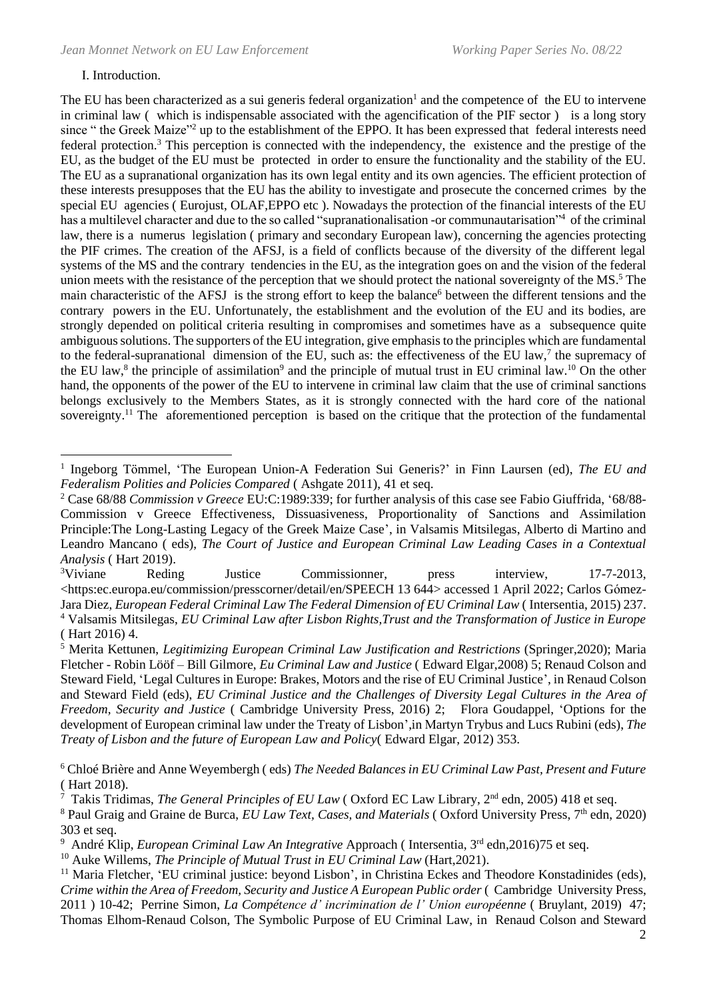#### Ι. Introduction.

The EU has been characterized as a sui generis federal organization<sup>1</sup> and the competence of the EU to intervene in criminal law ( which is indispensable associated with the agencification of the PIF sector ) is a long story since " the Greek Maize"<sup>2</sup> up to the establishment of the EPPO. It has been expressed that federal interests need federal protection.<sup>3</sup> This perception is connected with the independency, the existence and the prestige of the EU, as the budget of the EU must be protected in order to ensure the functionality and the stability of the EU. The EU as a supranational organization has its own legal entity and its own agencies. The efficient protection of these interests presupposes that the EU has the ability to investigate and prosecute the concerned crimes by the special EU agencies (Eurojust, OLAF,EPPO etc). Nowadays the protection of the financial interests of the EU has a multilevel character and due to the so called "supranationalisation -or communautarisation"<sup>4</sup> of the criminal law, there is a numerus legislation ( primary and secondary European law), concerning the agencies protecting the PIF crimes. The creation of the AFSJ, is a field of conflicts because of the diversity of the different legal systems of the MS and the contrary tendencies in the EU, as the integration goes on and the vision of the federal union meets with the resistance of the perception that we should protect the national sovereignty of the MS. <sup>5</sup> The main characteristic of the AFSJ is the strong effort to keep the balance<sup>6</sup> between the different tensions and the contrary powers in the EU. Unfortunately, the establishment and the evolution of the EU and its bodies, are strongly depended on political criteria resulting in compromises and sometimes have as a subsequence quite ambiguous solutions. The supporters of the EU integration, give emphasis to the principles which are fundamental to the federal-supranational dimension of the EU, such as: the effectiveness of the EU law,<sup>7</sup> the supremacy of the EU law,<sup>8</sup> the principle of assimilation<sup>9</sup> and the principle of mutual trust in EU criminal law.<sup>10</sup> On the other hand, the opponents of the power of the EU to intervene in criminal law claim that the use of criminal sanctions belongs exclusively to the Members States, as it is strongly connected with the hard core of the national sovereignty.<sup>11</sup> The aforementioned perception is based on the critique that the protection of the fundamental

<sup>&</sup>lt;sup>1</sup> Ingeborg Tömmel, 'The European Union-A Federation Sui Generis?' in Finn Laursen (ed), The EU and *Federalism Polities and Policies Compared* ( Ashgate 2011), 41 et seq.

<sup>2</sup> Case 68/88 *Commission v Greece* EU:C:1989:339; for further analysis of this case see Fabio Giuffrida, '68/88- Commission v Greece Effectiveness, Dissuasiveness, Proportionality of Sanctions and Assimilation Principle:The Long-Lasting Legacy of the Greek Maize Case', in Valsamis Mitsilegas, Alberto di Martino and Leandro Mancano ( eds), *The Court of Justice and European Criminal Law Leading Cases in a Contextual Analysis* ( Hart 2019).

<sup>&</sup>lt;sup>3</sup>Viviane Reding Justice Commissionner, press interview, 17-7-2013, <https:ec.europa.eu/commission/presscorner/detail/en/SPEECH 13 644> accessed 1 April 2022; Carlos Gόmez-Jara Diez, *European Federal Criminal Law The Federal Dimension of EU Criminal Law* ( Intersentia, 2015) 237. <sup>4</sup> Valsamis Mitsilegas, *EU Criminal Law after Lisbon Rights,Trust and the Transformation of Justice in Europe*  ( Hart 2016) 4.

<sup>5</sup> Merita Kettunen, *Legitimizing European Criminal Law Justification and Restrictions* (Springer,2020); Maria Fletcher - Robin Lööf – Bill Gilmore, *Eu Criminal Law and Justice* ( Edward Elgar,2008) 5; Renaud Colson and Steward Field, 'Legal Cultures in Europe: Brakes, Motors and the rise of EU Criminal Justice', in Renaud Colson and Steward Field (eds), *EU Criminal Justice and the Challenges of Diversity Legal Cultures in the Area of Freedom, Security and Justice* ( Cambridge University Press, 2016) 2; Flora Goudappel, 'Options for the development of European criminal law under the Treaty of Lisbon',in Μartyn Trybus and Lucs Rubini (eds), *The Treaty of Lisbon and the future of European Law and Policy*( Edward Elgar, 2012) 353.

<sup>6</sup> Chloé Brière and Anne Weyembergh ( eds) *The Needed Balances in EU Criminal Law Past, Present and Future*  ( Hart 2018).

<sup>&</sup>lt;sup>7</sup> Takis Tridimas, *The General Principles of EU Law* (Oxford EC Law Library, 2<sup>nd</sup> edn, 2005) 418 et seq.

<sup>&</sup>lt;sup>8</sup> Paul Graig and Graine de Burca, *EU Law Text, Cases, and Materials* (Oxford University Press, 7<sup>th</sup> edn, 2020) 303 et seq.

<sup>&</sup>lt;sup>9</sup> André Klip, *European Criminal Law An Integrative* Approach (Intersentia, 3<sup>rd</sup> edn, 2016) 75 et seq.

<sup>10</sup> Auke Willems, *The Principle of Mutual Trust in EU Criminal Law* (Hart,2021).

<sup>&</sup>lt;sup>11</sup> Maria Fletcher, 'EU criminal justice: beyond Lisbon', in Christina Eckes and Theodore Konstadinides (eds), *Crime within the Area of Freedom, Security and Justice A European Public order* ( Cambridge University Press, 2011 ) 10-42; Perrine Simon, *La Compétence d' incrimination de l' Union européenne* ( Bruylant, 2019) 47; Thomas Elhom-Renaud Colson, The Symbolic Purpose of EU Criminal Law, in Renaud Colson and Steward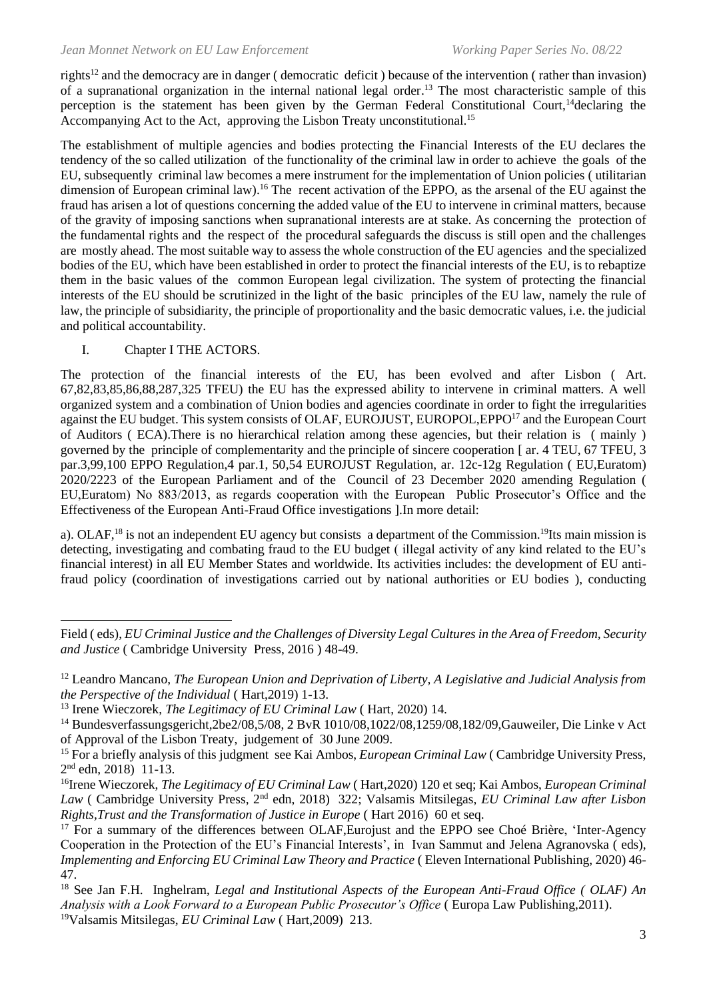rights<sup>12</sup> and the democracy are in danger ( democratic deficit) because of the intervention ( rather than invasion) of a supranational organization in the internal national legal order. <sup>13</sup> The most characteristic sample of this perception is the statement has been given by the German Federal Constitutional Court,<sup>14</sup>declaring the Accompanying Act to the Act, approving the Lisbon Treaty unconstitutional.<sup>15</sup>

The establishment of multiple agencies and bodies protecting the Financial Interests of the EU declares the tendency of the so called utilization of the functionality of the criminal law in order to achieve the goals of the EU, subsequently criminal law becomes a mere instrument for the implementation of Union policies ( utilitarian dimension of European criminal law).<sup>16</sup> The recent activation of the EPPO, as the arsenal of the EU against the fraud has arisen a lot of questions concerning the added value of the EU to intervene in criminal matters, because of the gravity of imposing sanctions when supranational interests are at stake. As concerning the protection of the fundamental rights and the respect of the procedural safeguards the discuss is still open and the challenges are mostly ahead. The most suitable way to assess the whole construction of the EU agencies and the specialized bodies of the EU, which have been established in order to protect the financial interests of the EU, is to rebaptize them in the basic values of the common European legal civilization. The system of protecting the financial interests of the EU should be scrutinized in the light of the basic principles of the EU law, namely the rule of law, the principle of subsidiarity, the principle of proportionality and the basic democratic values, i.e. the judicial and political accountability.

### I. Chapter I THE ACTORS.

The protection of the financial interests of the EU, has been evolved and after Lisbon ( Art. 67,82,83,85,86,88,287,325 TFEU) the EU has the expressed ability to intervene in criminal matters. A well organized system and a combination of Union bodies and agencies coordinate in order to fight the irregularities against the EU budget. This system consists of OLAF, EUROJUST, EUROPOL, EPPO<sup>17</sup> and the European Court of Auditors ( ECA).There is no hierarchical relation among these agencies, but their relation is ( mainly ) governed by the principle of complementarity and the principle of sincere cooperation [ ar. 4 TEU, 67 TFEU, 3 par.3,99,100 EPPO Regulation,4 par.1, 50,54 EUROJUST Regulation, ar. 12c-12g Regulation ( EU,Euratom) 2020/2223 of the European Parliament and of the Council of 23 December 2020 amending Regulation ( EU,Euratom) No 883/2013, as regards cooperation with the European Public Prosecutor's Office and the Effectiveness of the European Anti-Fraud Office investigations ].In more detail:

a). OLAF,<sup>18</sup> is not an independent EU agency but consists a department of the Commission.<sup>19</sup>Its main mission is detecting, investigating and combating fraud to the EU budget ( illegal activity of any kind related to the EU's financial interest) in all EU Member States and worldwide. Its activities includes: the development of EU antifraud policy (coordination of investigations carried out by national authorities or EU bodies ), conducting

Field ( eds), *EU Criminal Justice and the Challenges of Diversity Legal Cultures in the Area of Freedom, Security and Justice* ( Cambridge University Press, 2016 ) 48-49.

<sup>12</sup> Leandro Mancano, *The European Union and Deprivation of Liberty, A Legislative and Judicial Analysis from the Perspective of the Individual* ( Hart,2019) 1-13.

<sup>13</sup> Irene Wieczorek, *The Legitimacy of EU Criminal Law* ( Hart, 2020) 14.

<sup>&</sup>lt;sup>14</sup> Bundesverfassungsgericht,2be2/08,5/08, 2 BvR 1010/08,1022/08,1259/08,182/09,Gauweiler, Die Linke v Act of Approval of the Lisbon Treaty, judgement of 30 June 2009.

<sup>&</sup>lt;sup>15</sup> For a briefly analysis of this judgment see Kai Ambos, *European Criminal Law* (Cambridge University Press, 2 nd edn, 2018) 11-13.

<sup>16</sup>Irene Wieczorek, *The Legitimacy of EU Criminal Law* ( Hart,2020) 120 et seq; Kai Ambos, *European Criminal Law* ( Cambridge University Press, 2nd edn, 2018) 322; Valsamis Mitsilegas, *EU Criminal Law after Lisbon Rights, Trust and the Transformation of Justice in Europe* (Hart 2016) 60 et seq.

<sup>&</sup>lt;sup>17</sup> For a summary of the differences between OLAF, Eurojust and the EPPO see Choé Brière, 'Inter-Agency Cooperation in the Protection of the EU's Financial Interests', in Ivan Sammut and Jelena Agranovska ( eds), *Implementing and Enforcing EU Criminal Law Theory and Practice* ( Eleven International Publishing, 2020) 46- 47.

<sup>18</sup> See Jan F.H. Inghelram, *Legal and Institutional Aspects of the European Anti-Fraud Office ( OLAF) An Analysis with a Look Forward to a European Public Prosecutor's Office* ( Europa Law Publishing,2011). <sup>19</sup>Valsamis Mitsilegas, *EU Criminal Law* ( Hart,2009) 213.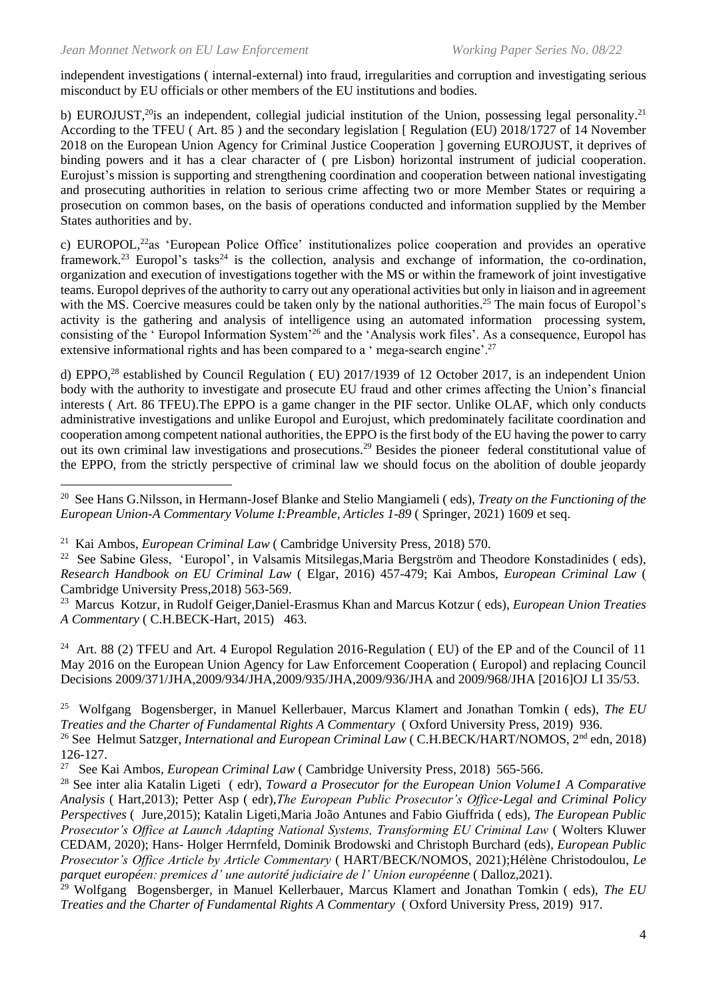independent investigations ( internal-external) into fraud, irregularities and corruption and investigating serious misconduct by EU officials or other members of the EU institutions and bodies.

b) EUROJUST,<sup>20</sup>is an independent, collegial judicial institution of the Union, possessing legal personality.<sup>21</sup> According to the TFEU ( Art. 85 ) and the secondary legislation [ Regulation (EU) 2018/1727 of 14 November 2018 on the European Union Agency for Criminal Justice Cooperation ] governing EUROJUST, it deprives of binding powers and it has a clear character of ( pre Lisbon) horizontal instrument of judicial cooperation. Eurojust's mission is supporting and strengthening coordination and cooperation between national investigating and prosecuting authorities in relation to serious crime affecting two or more Member States or requiring a prosecution on common bases, on the basis of operations conducted and information supplied by the Member States authorities and by.

c) EUROPOL,<sup>22</sup>as 'European Police Office' institutionalizes police cooperation and provides an operative framework.<sup>23</sup> Europol's tasks<sup>24</sup> is the collection, analysis and exchange of information, the co-ordination, organization and execution of investigations together with the MS or within the framework of joint investigative teams. Europol deprives of the authority to carry out any operational activities but only in liaison and in agreement with the MS. Coercive measures could be taken only by the national authorities.<sup>25</sup> The main focus of Europol's activity is the gathering and analysis of intelligence using an automated information processing system, consisting of the ' Europol Information System'<sup>26</sup> and the 'Analysis work files'. As a consequence, Europol has extensive informational rights and has been compared to a ' mega-search engine'.<sup>27</sup>

d) EPPO,<sup>28</sup> established by Council Regulation ( EU) 2017/1939 of 12 October 2017, is an independent Union body with the authority to investigate and prosecute EU fraud and other crimes affecting the Union's financial interests ( Art. 86 TFEU).The EPPO is a game changer in the PIF sector. Unlike OLAF, which only conducts administrative investigations and unlike Europol and Eurojust, which predominately facilitate coordination and cooperation among competent national authorities, the EPPO is the first body of the EU having the power to carry out its own criminal law investigations and prosecutions.<sup>29</sup> Besides the pioneer federal constitutional value of the EPPO, from the strictly perspective of criminal law we should focus on the abolition of double jeopardy

<sup>20</sup> See Hans G.Nilsson, in Ηermann-Josef Blanke and Stelio Mangiameli ( eds), *Treaty on the Functioning of the European Union-A Commentary Volume I:Preamble, Articles 1-89* ( Springer, 2021) 1609 et seq.

21 Kai Ambos, *European Criminal Law* ( Cambridge University Press, 2018) 570.

<sup>22</sup> See Sabine Gless, 'Europol', in Valsamis Mitsilegas, Maria Bergström and Theodore Konstadinides (eds), *Research Handbook on EU Criminal Law* ( Elgar, 2016) 457-479; Kai Ambos, *European Criminal Law* ( Cambridge University Press,2018) 563-569.

<sup>23</sup> Marcus Kotzur, in Rudolf Geiger,Daniel-Erasmus Khan and Marcus Kotzur ( eds), *European Union Treaties A Commentary* ( C.H.BECK-Hart, 2015) 463.

<sup>24</sup> Art. 88 (2) TFEU and Art. 4 Europol Regulation 2016-Regulation (EU) of the EP and of the Council of 11 May 2016 on the European Union Agency for Law Enforcement Cooperation ( Europol) and replacing Council Decisions 2009/371/JHA,2009/934/JHA,2009/935/JHA,2009/936/JHA and 2009/968/JHA [2016]OJ LI 35/53.

25 Wolfgang Bogensberger, in Manuel Kellerbauer, Marcus Klamert and Jonathan Tomkin ( eds), *The EU Treaties and the Charter of Fundamental Rights A Commentary* ( Oxford University Press, 2019) 936. <sup>26</sup> See Helmut Satzger, *International and European Criminal Law* (C.H.BECK/HART/NOMOS, 2<sup>nd</sup> edn, 2018)

126-127.

27 See Kai Ambos, *European Criminal Law* ( Cambridge University Press, 2018) 565-566.

<sup>28</sup> See inter alia Katalin Ligeti ( edr), *Toward a Prosecutor for the European Union Volume1 A Comparative Analysis* ( Hart,2013); Petter Asp ( edr),*The European Public Prosecutor's Office-Legal and Criminal Policy Perspectives* ( Jure,2015); Katalin Ligeti,Maria João Antunes and Fabio Giuffrida ( eds), *The European Public Prosecutor's Office at Launch Adapting National Systems, Transforming EU Criminal Law* ( Wolters Kluwer CEDAM, 2020); Hans- Holger Herrnfeld, Dominik Brodowski and Christoph Burchard (eds), *European Public Prosecutor's Office Article by Article Commentary* ( HART/BECK/NOMOS, 2021);Hélène Christodoulou, *Le parquet européen: premices d' une autorité judiciaire de l' Union européenne* ( Dalloz,2021).

<sup>29</sup> Wolfgang Bogensberger, in Manuel Kellerbauer, Marcus Klamert and Jonathan Tomkin ( eds), *The EU Treaties and the Charter of Fundamental Rights A Commentary* ( Oxford University Press, 2019) 917.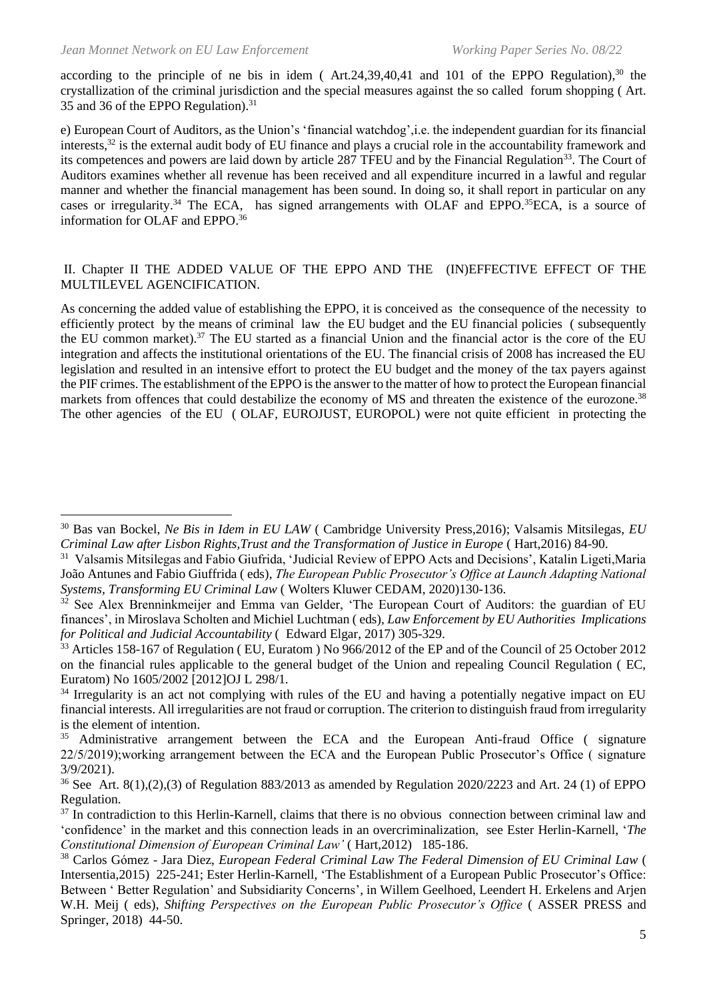according to the principle of ne bis in idem (Art.24,39,40,41 and 101 of the EPPO Regulation),<sup>30</sup> the crystallization of the criminal jurisdiction and the special measures against the so called forum shopping ( Art. 35 and 36 of the EPPO Regulation).<sup>31</sup>

e) European Court of Auditors, as the Union's 'financial watchdog',i.e. the independent guardian for its financial interests, <sup>32</sup> is the external audit body of EU finance and plays a crucial role in the accountability framework and its competences and powers are laid down by article 287 TFEU and by the Financial Regulation<sup>33</sup>. The Court of Auditors examines whether all revenue has been received and all expenditure incurred in a lawful and regular manner and whether the financial management has been sound. In doing so, it shall report in particular on any cases or irregularity.<sup>34</sup> The ECA, has signed arrangements with OLAF and EPPO.<sup>35</sup>ECA, is a source of information for OLAF and EPPO. 36

#### ΙΙ. Chapter II THE ADDED VALUE OF THE EPPO AND THE (IN)EFFECTIVE EFFECT OF THE MULTILEVEL AGENCIFICATION.

As concerning the added value of establishing the EPPO, it is conceived as the consequence of the necessity to efficiently protect by the means of criminal law the EU budget and the EU financial policies ( subsequently the EU common market). <sup>37</sup> The EU started as a financial Union and the financial actor is the core of the EU integration and affects the institutional orientations of the EU. The financial crisis of 2008 has increased the EU legislation and resulted in an intensive effort to protect the EU budget and the money of the tax payers against the PIF crimes. The establishment of the EPPO is the answer to the matter of how to protect the European financial markets from offences that could destabilize the economy of MS and threaten the existence of the eurozone.<sup>38</sup> The other agencies of the EU ( OLAF, EUROJUST, EUROPOL) were not quite efficient in protecting the

<sup>30</sup> Bas van Bockel, *Ne Bis in Idem in EU LAW* ( Cambridge University Press,2016); Valsamis Mitsilegas, *EU Criminal Law after Lisbon Rights,Trust and the Transformation of Justice in Europe* ( Hart,2016) 84-90.

<sup>&</sup>lt;sup>31</sup> Valsamis Mitsilegas and Fabio Giufrida, 'Judicial Review of EPPO Acts and Decisions', Katalin Ligeti, Maria João Antunes and Fabio Giuffrida ( eds), *The European Public Prosecutor's Office at Launch Adapting National Systems, Transforming EU Criminal Law* ( Wolters Kluwer CEDAM, 2020)130-136.

 $32$  See Alex Brenninkmeijer and Emma van Gelder, 'The European Court of Auditors: the guardian of EU finances', in Miroslava Scholten and Michiel Luchtman ( eds), *Law Enforcement by EU Authorities Implications for Political and Judicial Accountability* ( Edward Elgar, 2017) 305-329.

<sup>&</sup>lt;sup>33</sup> Articles 158-167 of Regulation ( EU, Euratom ) No 966/2012 of the EP and of the Council of 25 October 2012 on the financial rules applicable to the general budget of the Union and repealing Council Regulation ( EC, Euratom) No 1605/2002 [2012]OJ L 298/1.

<sup>&</sup>lt;sup>34</sup> Irregularity is an act not complying with rules of the EU and having a potentially negative impact on EU financial interests. All irregularities are not fraud or corruption. The criterion to distinguish fraud from irregularity is the element of intention.

 $35$  Administrative arrangement between the ECA and the European Anti-fraud Office (signature 22/5/2019);working arrangement between the ECA and the European Public Prosecutor's Office ( signature 3/9/2021).

<sup>&</sup>lt;sup>36</sup> See Art. 8(1),(2),(3) of Regulation 883/2013 as amended by Regulation 2020/2223 and Art. 24 (1) of EPPO Regulation.

 $37$  In contradiction to this Herlin-Karnell, claims that there is no obvious connection between criminal law and 'confidence' in the market and this connection leads in an overcriminalization, see Ester Herlin-Karnell, '*The Constitutional Dimension of European Criminal Law'* ( Hart,2012) 185-186.

<sup>38</sup> Carlos Gόmez - Jara Diez, *European Federal Criminal Law The Federal Dimension of EU Criminal Law* ( Intersentia,2015) 225-241; Ester Herlin-Karnell, 'The Establishment of a European Public Prosecutor's Office: Between ' Better Regulation' and Subsidiarity Concerns', in Willem Geelhoed, Leendert H. Erkelens and Arjen W.H. Meij ( eds), *Shifting Perspectives on the European Public Prosecutor's Office* ( ASSER PRESS and Springer, 2018) 44-50.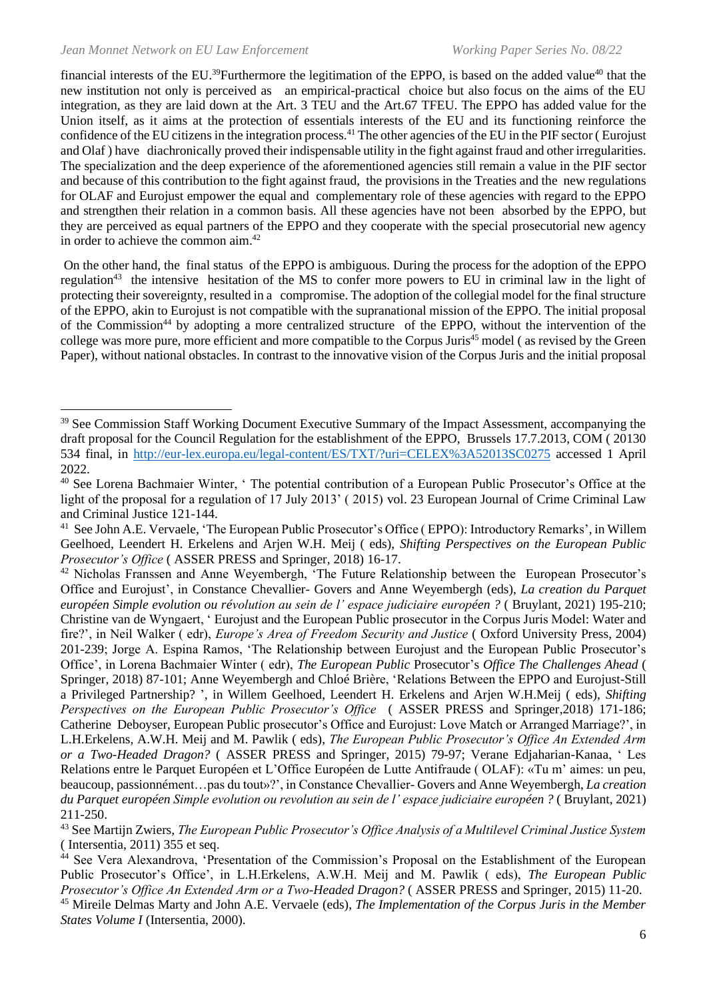financial interests of the EU.<sup>39</sup>Furthermore the legitimation of the EPPO, is based on the added value<sup>40</sup> that the new institution not only is perceived as an empirical-practical choice but also focus on the aims of the EU integration, as they are laid down at the Art. 3 TEU and the Art.67 TFEU. The EPPO has added value for the Union itself, as it aims at the protection of essentials interests of the EU and its functioning reinforce the confidence of the EU citizens in the integration process. <sup>41</sup> The other agencies of the EU in the PIF sector ( Eurojust and Olaf ) have diachronically proved their indispensable utility in the fight against fraud and other irregularities. The specialization and the deep experience of the aforementioned agencies still remain a value in the PIF sector and because of this contribution to the fight against fraud, the provisions in the Treaties and the new regulations for OLAF and Eurojust empower the equal and complementary role of these agencies with regard to the EPPO and strengthen their relation in a common basis. All these agencies have not been absorbed by the EPPO, but they are perceived as equal partners of the EPPO and they cooperate with the special prosecutorial new agency in order to achieve the common aim. 42

On the other hand, the final status of the EPPO is ambiguous. During the process for the adoption of the EPPO regulation<sup>43</sup> the intensive hesitation of the MS to confer more powers to EU in criminal law in the light of protecting their sovereignty, resulted in a compromise. The adoption of the collegial model for the final structure of the EPPO, akin to Eurojust is not compatible with the supranational mission of the EPPO. The initial proposal of the Commission<sup>44</sup> by adopting a more centralized structure of the EPPO, without the intervention of the college was more pure, more efficient and more compatible to the Corpus Juris<sup>45</sup> model (as revised by the Green Paper), without national obstacles. In contrast to the innovative vision of the Corpus Juris and the initial proposal

<sup>&</sup>lt;sup>39</sup> See Commission Staff Working Document Executive Summary of the Impact Assessment, accompanying the draft proposal for the Council Regulation for the establishment of the EPPO, Brussels 17.7.2013, COM ( 20130 534 final, in<http://eur-lex.europa.eu/legal-content/ES/TXT/?uri=CELEX%3A52013SC0275> accessed 1 April 2022.

<sup>&</sup>lt;sup>40</sup> See Lorena Bachmaier Winter, ' The potential contribution of a European Public Prosecutor's Office at the light of the proposal for a regulation of 17 July 2013' (2015) vol. 23 European Journal of Crime Criminal Law and Criminal Justice 121-144.

<sup>&</sup>lt;sup>41</sup> See John A.E. Vervaele, 'The European Public Prosecutor's Office (EPPO): Introductory Remarks', in Willem Geelhoed, Leendert H. Erkelens and Arjen W.H. Meij ( eds), *Shifting Perspectives on the European Public Prosecutor's Office* ( ASSER PRESS and Springer, 2018) 16-17.

<sup>&</sup>lt;sup>42</sup> Nicholas Franssen and Anne Weyembergh, 'The Future Relationship between the European Prosecutor's Office and Eurojust', in Constance Chevallier- Govers and Anne Weyembergh (eds), *La creation du Parquet européen Simple evolution ou révolution au sein de l' espace judiciaire européen ?* ( Bruylant, 2021) 195-210; Christine van de Wyngaert, ' Eurojust and the European Public prosecutor in the Corpus Juris Model: Water and fire?', in Neil Walker ( edr), *Europe's Area of Freedom Security and Justice* ( Oxford University Press, 2004) 201-239; Jorge A. Espina Ramos, 'The Relationship between Eurojust and the European Public Prosecutor's Office', in Lorena Bachmaier Winter ( edr), *The European Public* Prosecutor's *Office The Challenges Ahead* ( Springer, 2018) 87-101; Anne Weyembergh and Chloé Brière, 'Relations Between the EPPO and Eurojust-Still a Privileged Partnership? ', in Willem Geelhoed, Leendert H. Erkelens and Arjen W.H.Meij ( eds), *Shifting Perspectives on the European Public Prosecutor's Office* ( ASSER PRESS and Springer,2018) 171-186; Catherine Deboyser, European Public prosecutor's Office and Eurojust: Love Match or Arranged Marriage?', in L.H.Erkelens, A.W.H. Meij and M. Pawlik ( eds), *The European Public Prosecutor's Office An Extended Arm or a Two-Headed Dragon?* ( ASSER PRESS and Springer, 2015) 79-97; Verane Edjaharian-Kanaa, ' Les Relations entre le Parquet Européen et L'Office Européen de Lutte Antifraude ( OLAF): «Tu m' aimes: un peu, beaucoup, passionnément…pas du tout»?', in Constance Chevallier- Govers and Anne Weyembergh, *La creation du Parquet européen Simple evolution ou revolution au sein de l' espace judiciaire européen ?* ( Bruylant, 2021) 211-250.

<sup>43</sup> See Martijn Zwiers, *The European Public Prosecutor's Office Analysis of a Multilevel Criminal Justice System*  ( Intersentia, 2011) 355 et seq.

<sup>44</sup> See Vera Alexandrova, 'Presentation of the Commission's Proposal on the Establishment of the European Public Prosecutor's Office', in L.H.Erkelens, A.W.H. Meij and M. Pawlik ( eds), *The European Public Prosecutor's Office An Extended Arm or a Two-Headed Dragon?* ( ASSER PRESS and Springer, 2015) 11-20.

<sup>45</sup> Mireile Delmas Marty and John A.E. Vervaele (eds), *The Implementation of the Corpus Juris in the Member States Volume I* (Intersentia, 2000).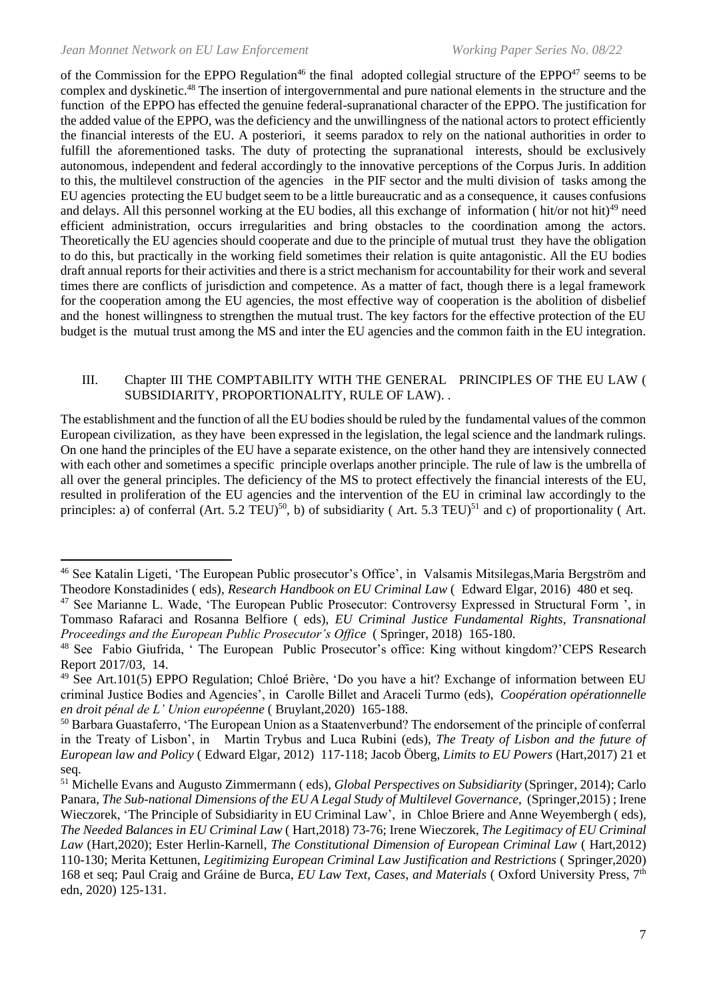of the Commission for the EPPO Regulation<sup>46</sup> the final adopted collegial structure of the EPPO $47$  seems to be complex and dyskinetic.<sup>48</sup> The insertion of intergovernmental and pure national elements in the structure and the function of the EPPO has effected the genuine federal-supranational character of the EPPO. The justification for the added value of the EPPO, was the deficiency and the unwillingness of the national actors to protect efficiently the financial interests of the EU. A posteriori, it seems paradox to rely on the national authorities in order to fulfill the aforementioned tasks. The duty of protecting the supranational interests, should be exclusively autonomous, independent and federal accordingly to the innovative perceptions of the Corpus Juris. In addition to this, the multilevel construction of the agencies in the PIF sector and the multi division of tasks among the EU agencies protecting the EU budget seem to be a little bureaucratic and as a consequence, it causes confusions and delays. All this personnel working at the EU bodies, all this exchange of information (hit/or not hit)<sup>49</sup> need efficient administration, occurs irregularities and bring obstacles to the coordination among the actors. Theoretically the EU agencies should cooperate and due to the principle of mutual trust they have the obligation to do this, but practically in the working field sometimes their relation is quite antagonistic. All the EU bodies draft annual reports for their activities and there is a strict mechanism for accountability for their work and several times there are conflicts of jurisdiction and competence. As a matter of fact, though there is a legal framework for the cooperation among the EU agencies, the most effective way of cooperation is the abolition of disbelief and the honest willingness to strengthen the mutual trust. The key factors for the effective protection of the EU budget is the mutual trust among the MS and inter the EU agencies and the common faith in the EU integration.

#### III. Chapter III THE COMPTABILITY WITH THE GENERAL PRINCIPLES OF THE EU LAW ( SUBSIDIARITY, PROPORTIONALITY, RULE OF LAW). .

The establishment and the function of all the EU bodies should be ruled by the fundamental values of the common European civilization, as they have been expressed in the legislation, the legal science and the landmark rulings. On one hand the principles of the EU have a separate existence, on the other hand they are intensively connected with each other and sometimes a specific principle overlaps another principle. The rule of law is the umbrella of all over the general principles. The deficiency of the MS to protect effectively the financial interests of the EU, resulted in proliferation of the EU agencies and the intervention of the EU in criminal law accordingly to the principles: a) of conferral (Art. 5.2 TEU)<sup>50</sup>, b) of subsidiarity (Art. 5.3 TEU)<sup>51</sup> and c) of proportionality (Art.

<sup>&</sup>lt;sup>46</sup> See Katalin Ligeti, 'The European Public prosecutor's Office', in Valsamis Mitsilegas,Maria Bergström and Theodore Konstadinides ( eds), *Research Handbook on EU Criminal Law* ( Edward Elgar, 2016) 480 et seq.

<sup>47</sup> See Marianne L. Wade, 'The European Public Prosecutor: Controversy Expressed in Structural Form ', in Tommaso Rafaraci and Rosanna Belfiore ( eds), *EU Criminal Justice Fundamental Rights, Transnational Proceedings and the European Public Prosecutor's Office* ( Springer, 2018) 165-180.

<sup>48</sup> See Fabio Giufrida, ' The European Public Prosecutor's office: King without kingdom?'CEPS Research Report 2017/03, 14.

<sup>49</sup> See Art.101(5) EPPO Regulation; Chloé Brière, 'Do you have a hit? Exchange of information between EU criminal Justice Bodies and Agencies', in Carolle Billet and Araceli Turmo (eds), *Coopération opérationnelle en droit pénal de L' Union européenne* ( Bruylant,2020) 165-188.

<sup>50</sup> Barbara Guastaferro, 'The European Union as a Staatenverbund? The endorsement of the principle of conferral in the Treaty of Lisbon', in Martin Trybus and Luca Rubini (eds), *The Treaty of Lisbon and the future of European law and Policy* ( Edward Elgar, 2012) 117-118; Jacob Öberg, *Limits to EU Powers* (Hart,2017) 21 et seq.

<sup>51</sup> Michelle Evans and Augusto Zimmermann ( eds), *Global Perspectives on Subsidiarity* (Springer, 2014); Carlo Panara, *The Sub-national Dimensions of the EU A Legal Study of Multilevel Governance*, (Springer,2015) ; Irene Wieczorek, 'The Principle of Subsidiarity in EU Criminal Law', in Chloe Briere and Anne Weyembergh ( eds), *The Needed Balances in EU Criminal Law* ( Hart,2018) 73-76; Irene Wieczorek, *The Legitimacy of EU Criminal Law* (Hart,2020); Ester Herlin-Karnell, *The Constitutional Dimension of European Criminal Law* ( Hart,2012) 110-130; Merita Kettunen, *Legitimizing European Criminal Law Justification and Restrictions* ( Springer,2020) 168 et seq; Paul Craig and Gráine de Burca, *EU Law Text, Cases, and Materials* ( Oxford University Press, 7th edn, 2020) 125-131.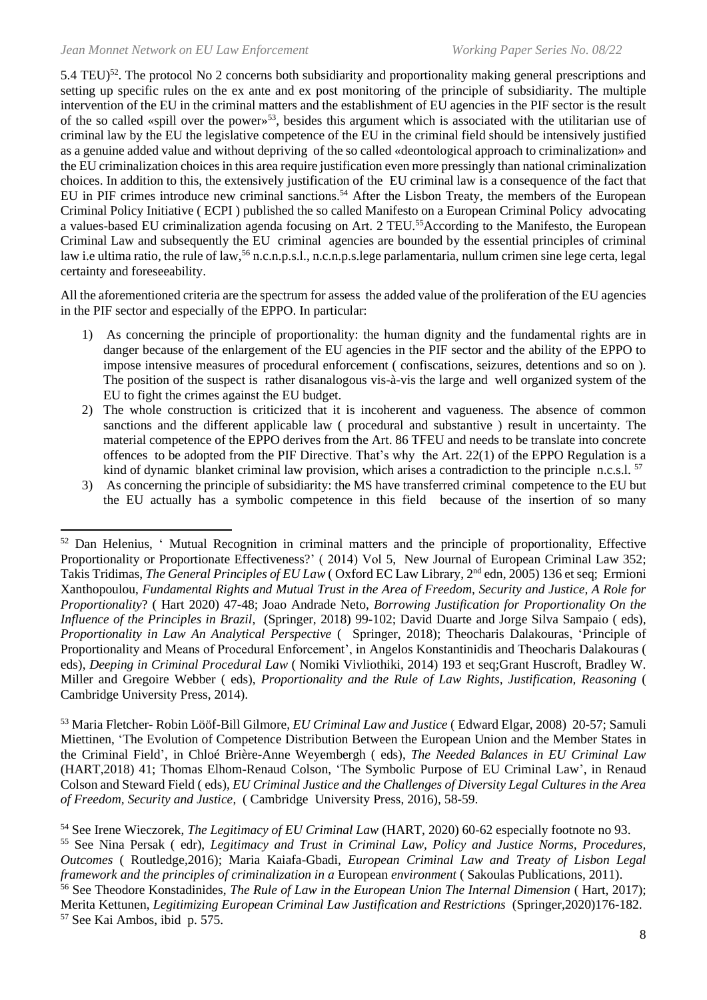5.4 TEU)<sup>52</sup>. The protocol No 2 concerns both subsidiarity and proportionality making general prescriptions and setting up specific rules on the ex ante and ex post monitoring of the principle of subsidiarity. The multiple intervention of the EU in the criminal matters and the establishment of EU agencies in the PIF sector is the result of the so called «spill over the power»<sup>53</sup>, besides this argument which is associated with the utilitarian use of criminal law by the EU the legislative competence of the EU in the criminal field should be intensively justified as a genuine added value and without depriving of the so called «deontological approach to criminalization» and the EU criminalization choices in this area require justification even more pressingly than national criminalization choices. In addition to this, the extensively justification of the EU criminal law is a consequence of the fact that EU in PIF crimes introduce new criminal sanctions.<sup>54</sup> After the Lisbon Treaty, the members of the European Criminal Policy Initiative ( ECPI ) published the so called Manifesto on a European Criminal Policy advocating a values-based EU criminalization agenda focusing on Art. 2 TEU.<sup>55</sup>According to the Manifesto, the European Criminal Law and subsequently the EU criminal agencies are bounded by the essential principles of criminal law i.e ultima ratio, the rule of law,<sup>56</sup> n.c.n.p.s.l., n.c.n.p.s.lege parlamentaria, nullum crimen sine lege certa, legal certainty and foreseeability.

All the aforementioned criteria are the spectrum for assess the added value of the proliferation of the EU agencies in the PIF sector and especially of the EPPO. In particular:

- 1) As concerning the principle of proportionality: the human dignity and the fundamental rights are in danger because of the enlargement of the EU agencies in the PIF sector and the ability of the EPPO to impose intensive measures of procedural enforcement ( confiscations, seizures, detentions and so on ). The position of the suspect is rather disanalogous vis-à-vis the large and well organized system of the EU to fight the crimes against the EU budget.
- 2) The whole construction is criticized that it is incoherent and vagueness. The absence of common sanctions and the different applicable law ( procedural and substantive ) result in uncertainty. The material competence of the EPPO derives from the Art. 86 TFEU and needs to be translate into concrete offences to be adopted from the PIF Directive. That's why the Art. 22(1) of the EPPO Regulation is a kind of dynamic blanket criminal law provision, which arises a contradiction to the principle n.c.s.l.  $57$
- 3) As concerning the principle of subsidiarity: the MS have transferred criminal competence to the EU but the EU actually has a symbolic competence in this field because of the insertion of so many

<sup>53</sup> Maria Fletcher- Robin Lööf-Bill Gilmore, *EU Criminal Law and Justice* ( Edward Elgar, 2008) 20-57; Samuli Miettinen, 'The Evolution of Competence Distribution Between the European Union and the Member States in the Criminal Field', in Chloé Brière-Anne Weyembergh ( eds), *The Needed Balances in EU Criminal Law* (HART,2018) 41; Thomas Elhom-Renaud Colson, 'The Symbolic Purpose of EU Criminal Law', in Renaud Colson and Steward Field ( eds), *EU Criminal Justice and the Challenges of Diversity Legal Cultures in the Area of Freedom, Security and Justice*, ( Cambridge University Press, 2016), 58-59.

<sup>&</sup>lt;sup>52</sup> Dan Helenius, ' Mutual Recognition in criminal matters and the principle of proportionality, Effective Proportionality or Proportionate Effectiveness?' ( 2014) Vol 5, New Journal of European Criminal Law 352; Takis Tridimas, *The General Principles of EU Law* (Oxford EC Law Library, 2<sup>nd</sup> edn, 2005) 136 et seq; Ermioni Xanthopoulou, *Fundamental Rights and Mutual Trust in the Area of Freedom, Security and Justice, A Role for Proportionality*? ( Hart 2020) 47-48; Joao Andrade Neto, *Borrowing Justification for Proportionality On the Influence of the Principles in Brazil,* (Springer, 2018) 99-102; David Duarte and Jorge Silva Sampaio ( eds), *Proportionality in Law An Analytical Perspective* ( Springer, 2018); Theocharis Dalakouras, 'Principle of Proportionality and Means of Procedural Enforcement', in Angelos Konstantinidis and Theocharis Dalakouras ( eds), *Deeping in Criminal Procedural Law* ( Nomiki Vivliothiki, 2014) 193 et seq;Grant Huscroft, Bradley W. Miller and Gregoire Webber ( eds), *Proportionality and the Rule of Law Rights, Justification, Reasoning* ( Cambridge University Press, 2014).

<sup>54</sup> See Irene Wieczorek, *The Legitimacy of EU Criminal Law* (HART, 2020) 60-62 especially footnote no 93. <sup>55</sup> See Nina Persak ( edr), *Legitimacy and Trust in Criminal Law, Policy and Justice Norms, Procedures, Outcomes* ( Routledge,2016); Maria Kaiafa-Gbadi, *European Criminal Law and Treaty of Lisbon Legal framework and the principles of criminalization in a European <i>environment* (Sakoulas Publications, 2011).

<sup>&</sup>lt;sup>56</sup> See Theodore Konstadinides, *The Rule of Law in the European Union The Internal Dimension* (Hart, 2017); Merita Kettunen, *Legitimizing European Criminal Law Justification and Restrictions* (Springer,2020)176-182. <sup>57</sup> See Kai Ambos, ibid p. 575.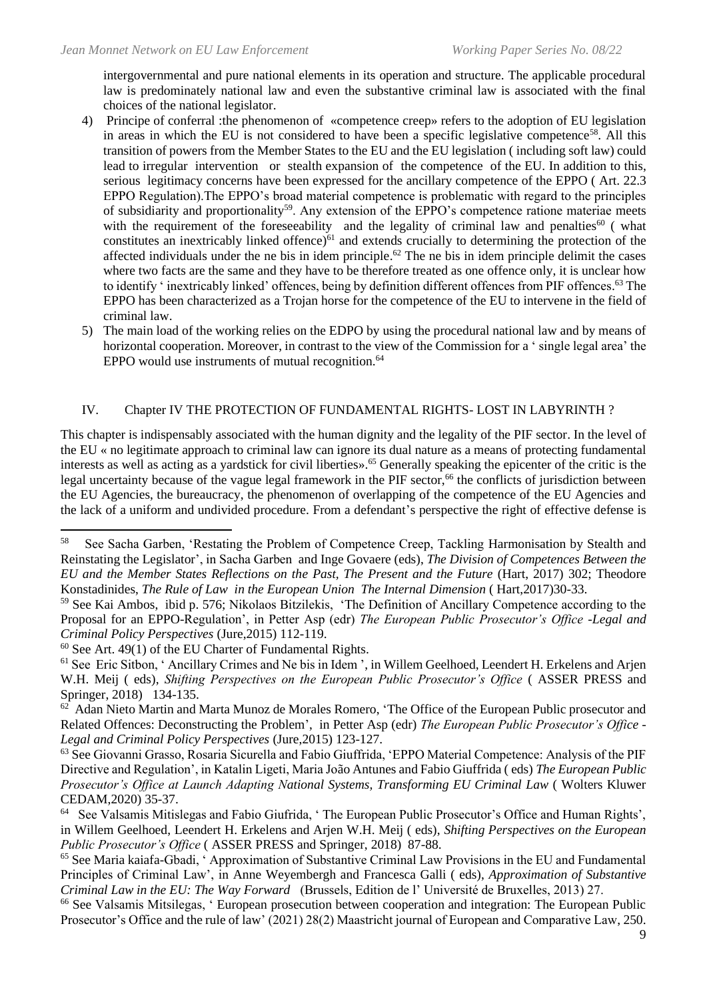intergovernmental and pure national elements in its operation and structure. The applicable procedural law is predominately national law and even the substantive criminal law is associated with the final choices of the national legislator.

- 4) Principe of conferral :the phenomenon of «competence creep» refers to the adoption of EU legislation in areas in which the EU is not considered to have been a specific legislative competence<sup>58</sup>. All this transition of powers from the Member States to the EU and the EU legislation ( including soft law) could lead to irregular intervention or stealth expansion of the competence of the EU. In addition to this, serious legitimacy concerns have been expressed for the ancillary competence of the EPPO ( Art. 22.3 EPPO Regulation).The EPPO's broad material competence is problematic with regard to the principles of subsidiarity and proportionality<sup>59</sup>. Any extension of the EPPO's competence ratione materiae meets with the requirement of the foreseeability and the legality of criminal law and penalties<sup>60</sup> (what constitutes an inextricably linked offence) $61$  and extends crucially to determining the protection of the affected individuals under the ne bis in idem principle.<sup>62</sup> The ne bis in idem principle delimit the cases where two facts are the same and they have to be therefore treated as one offence only, it is unclear how to identify ' inextricably linked' offences, being by definition different offences from PIF offences. <sup>63</sup> The EPPO has been characterized as a Trojan horse for the competence of the EU to intervene in the field of criminal law.
- 5) The main load of the working relies on the EDPO by using the procedural national law and by means of horizontal cooperation. Moreover, in contrast to the view of the Commission for a ' single legal area' the EPPO would use instruments of mutual recognition.<sup>64</sup>

#### IV. Chapter IV THE PROTECTION OF FUNDAMENTAL RIGHTS- LOST IN LABYRINTH ?

This chapter is indispensably associated with the human dignity and the legality of the PIF sector. In the level of the EU « no legitimate approach to criminal law can ignore its dual nature as a means of protecting fundamental interests as well as acting as a yardstick for civil liberties».<sup>65</sup> Generally speaking the epicenter of the critic is the legal uncertainty because of the vague legal framework in the PIF sector,<sup>66</sup> the conflicts of jurisdiction between the EU Agencies, the bureaucracy, the phenomenon of overlapping of the competence of the EU Agencies and the lack of a uniform and undivided procedure. From a defendant's perspective the right of effective defense is

<sup>58</sup> See Sacha Garben, 'Restating the Problem of Competence Creep, Tackling Harmonisation by Stealth and Reinstating the Legislator', in Sacha Garben and Inge Govaere (eds), *The Division of Competences Between the EU and the Member States Reflections on the Past, The Present and the Future* (Hart, 2017) 302; Theodore Konstadinides, *The Rule of Law in the European Union The Internal Dimension* ( Hart,2017)30-33.

<sup>59</sup> See Kai Ambos, ibid p. 576; Nikolaos Bitzilekis, 'The Definition of Ancillary Competence according to the Proposal for an EPPO-Regulation', in Petter Asp (edr) *The European Public Prosecutor's Office -Legal and Criminal Policy Perspectives* (Jure,2015) 112-119.

 $60$  See Art. 49(1) of the EU Charter of Fundamental Rights.

<sup>&</sup>lt;sup>61</sup> See Eric Sitbon, 'Ancillary Crimes and Ne bis in Idem ', in Willem Geelhoed, Leendert H. Erkelens and Arjen W.H. Meij ( eds), *Shifting Perspectives on the European Public Prosecutor's Office* ( ASSER PRESS and Springer, 2018) 134-135.

<sup>62</sup> Adan Nieto Martin and Marta Munoz de Morales Romero, 'The Office of the European Public prosecutor and Related Offences: Deconstructing the Problem', in Petter Asp (edr) *The European Public Prosecutor's Office - Legal and Criminal Policy Perspectives* (Jure,2015) 123-127.

<sup>63</sup> See Giovanni Grasso, Rosaria Sicurella and Fabio Giuffrida, 'EPPO Material Competence: Analysis of the PIF Directive and Regulation', in Katalin Ligeti, Maria João Antunes and Fabio Giuffrida ( eds) *The European Public Prosecutor's Office at Launch Adapting National Systems, Transforming EU Criminal Law* ( Wolters Kluwer CEDAM,2020) 35-37.

<sup>64</sup> See Valsamis Mitislegas and Fabio Giufrida, ' The European Public Prosecutor's Office and Human Rights', in Willem Geelhoed, Leendert H. Erkelens and Arjen W.H. Meij ( eds), *Shifting Perspectives on the European Public Prosecutor's Office* ( ASSER PRESS and Springer, 2018) 87-88.

<sup>65</sup> See Maria kaiafa-Gbadi, ' Approximation of Substantive Criminal Law Provisions in the EU and Fundamental Principles of Criminal Law', in Anne Weyembergh and Francesca Galli ( eds), *Approximation of Substantive Criminal Law in the EU: The Way Forward* (Brussels, Edition de l' Université de Bruxelles, 2013) 27.

<sup>&</sup>lt;sup>66</sup> See Valsamis Mitsilegas, ' European prosecution between cooperation and integration: The European Public Prosecutor's Office and the rule of law' (2021) 28(2) Maastricht journal of European and Comparative Law, 250.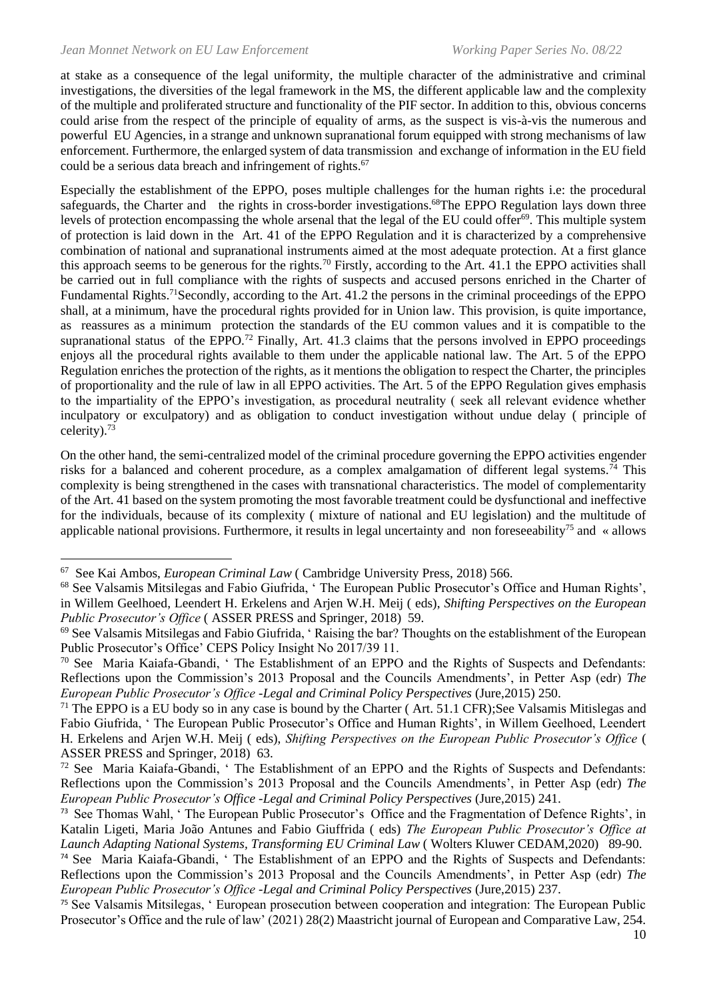at stake as a consequence of the legal uniformity, the multiple character of the administrative and criminal investigations, the diversities of the legal framework in the MS, the different applicable law and the complexity of the multiple and proliferated structure and functionality of the PIF sector. In addition to this, obvious concerns could arise from the respect of the principle of equality of arms, as the suspect is vis-à-vis the numerous and powerful EU Agencies, in a strange and unknown supranational forum equipped with strong mechanisms of law enforcement. Furthermore, the enlarged system of data transmission and exchange of information in the EU field could be a serious data breach and infringement of rights.<sup>67</sup>

Especially the establishment of the EPPO, poses multiple challenges for the human rights i.e: the procedural safeguards, the Charter and the rights in cross-border investigations.<sup>68</sup>The EPPO Regulation lays down three levels of protection encompassing the whole arsenal that the legal of the EU could offer<sup>69</sup>. This multiple system of protection is laid down in the Art. 41 of the EPPO Regulation and it is characterized by a comprehensive combination of national and supranational instruments aimed at the most adequate protection. At a first glance this approach seems to be generous for the rights.<sup>70</sup> Firstly, according to the Art. 41.1 the EPPO activities shall be carried out in full compliance with the rights of suspects and accused persons enriched in the Charter of Fundamental Rights.<sup>71</sup>Secondly, according to the Art. 41.2 the persons in the criminal proceedings of the EPPO shall, at a minimum, have the procedural rights provided for in Union law. This provision, is quite importance, as reassures as a minimum protection the standards of the EU common values and it is compatible to the supranational status of the EPPO.<sup>72</sup> Finally, Art. 41.3 claims that the persons involved in EPPO proceedings enjoys all the procedural rights available to them under the applicable national law. The Art. 5 of the EPPO Regulation enriches the protection of the rights, as it mentions the obligation to respect the Charter, the principles of proportionality and the rule of law in all EPPO activities. The Art. 5 of the EPPO Regulation gives emphasis to the impartiality of the EPPO's investigation, as procedural neutrality ( seek all relevant evidence whether inculpatory or exculpatory) and as obligation to conduct investigation without undue delay ( principle of celerity).<sup>73</sup>

On the other hand, the semi-centralized model of the criminal procedure governing the EPPO activities engender risks for a balanced and coherent procedure, as a complex amalgamation of different legal systems.<sup>74</sup> This complexity is being strengthened in the cases with transnational characteristics. The model of complementarity of the Art. 41 based on the system promoting the most favorable treatment could be dysfunctional and ineffective for the individuals, because of its complexity ( mixture of national and EU legislation) and the multitude of applicable national provisions. Furthermore, it results in legal uncertainty and non foreseeability<sup>75</sup> and « allows

<sup>67</sup> See Kai Ambos, *European Criminal Law* ( Cambridge University Press, 2018) 566.

<sup>68</sup> See Valsamis Mitsilegas and Fabio Giufrida, ' The European Public Prosecutor's Office and Human Rights', in Willem Geelhoed, Leendert H. Erkelens and Arjen W.H. Meij ( eds), *Shifting Perspectives on the European Public Prosecutor's Office* ( ASSER PRESS and Springer, 2018) 59.

<sup>69</sup> See Valsamis Mitsilegas and Fabio Giufrida, ' Raising the bar? Thoughts on the establishment of the European Public Prosecutor's Office' CEPS Policy Insight No 2017/39 11.

<sup>70</sup> See Maria Kaiafa-Gbandi, ' The Establishment of an EPPO and the Rights of Suspects and Defendants: Reflections upon the Commission's 2013 Proposal and the Councils Amendments', in Petter Asp (edr) *The European Public Prosecutor's Office -Legal and Criminal Policy Perspectives* (Jure,2015) 250.

 $71$  The EPPO is a EU body so in any case is bound by the Charter (Art. 51.1 CFR); See Valsamis Mitislegas and Fabio Giufrida, ' The European Public Prosecutor's Office and Human Rights', in Willem Geelhoed, Leendert H. Erkelens and Arjen W.H. Meij ( eds), *Shifting Perspectives on the European Public Prosecutor's Office* ( ASSER PRESS and Springer, 2018) 63.

<sup>&</sup>lt;sup>72</sup> See Maria Kaiafa-Gbandi, ' The Establishment of an EPPO and the Rights of Suspects and Defendants: Reflections upon the Commission's 2013 Proposal and the Councils Amendments', in Petter Asp (edr) *The European Public Prosecutor's Office -Legal and Criminal Policy Perspectives* (Jure,2015) 241.

<sup>73</sup> See Thomas Wahl, ' The European Public Prosecutor's Office and the Fragmentation of Defence Rights', in Katalin Ligeti, Maria João Antunes and Fabio Giuffrida ( eds) *The European Public Prosecutor's Office at Launch Adapting National Systems, Transforming EU Criminal Law* ( Wolters Kluwer CEDAM,2020) 89-90.

<sup>74</sup> See Maria Kaiafa-Gbandi, ' The Establishment of an EPPO and the Rights of Suspects and Defendants: Reflections upon the Commission's 2013 Proposal and the Councils Amendments', in Petter Asp (edr) *The European Public Prosecutor's Office -Legal and Criminal Policy Perspectives* (Jure,2015) 237.

<sup>75</sup> See Valsamis Mitsilegas, ' European prosecution between cooperation and integration: The European Public Prosecutor's Office and the rule of law' (2021) 28(2) Maastricht journal of European and Comparative Law, 254.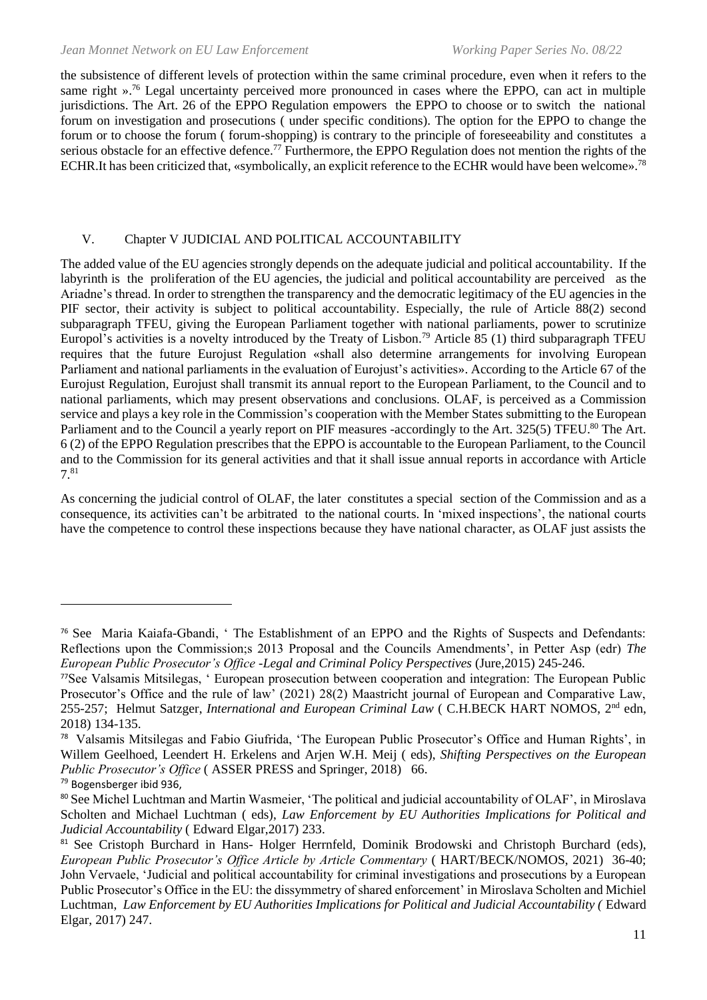the subsistence of different levels of protection within the same criminal procedure, even when it refers to the same right ».<sup>76</sup> Legal uncertainty perceived more pronounced in cases where the EPPO, can act in multiple jurisdictions. The Art. 26 of the EPPO Regulation empowers the EPPO to choose or to switch the national forum on investigation and prosecutions ( under specific conditions). The option for the EPPO to change the forum or to choose the forum ( forum-shopping) is contrary to the principle of foreseeability and constitutes a serious obstacle for an effective defence.<sup>77</sup> Furthermore, the EPPO Regulation does not mention the rights of the ECHR.It has been criticized that, «symbolically, an explicit reference to the ECHR would have been welcome».<sup>78</sup>

#### V. Chapter V JUDICIAL AND POLITICAL ACCOUNTABILITY

The added value of the EU agencies strongly depends on the adequate judicial and political accountability. If the labyrinth is the proliferation of the EU agencies, the judicial and political accountability are perceived as the Ariadne's thread. In order to strengthen the transparency and the democratic legitimacy of the EU agencies in the PIF sector, their activity is subject to political accountability. Especially, the rule of Article 88(2) second subparagraph TFEU, giving the European Parliament together with national parliaments, power to scrutinize Europol's activities is a novelty introduced by the Treaty of Lisbon.<sup>79</sup> Article 85 (1) third subparagraph TFEU requires that the future Eurojust Regulation «shall also determine arrangements for involving European Parliament and national parliaments in the evaluation of Eurojust's activities». According to the Article 67 of the Eurojust Regulation, Eurojust shall transmit its annual report to the European Parliament, to the Council and to national parliaments, which may present observations and conclusions. OLAF, is perceived as a Commission service and plays a key role in the Commission's cooperation with the Member States submitting to the European Parliament and to the Council a yearly report on PIF measures -accordingly to the Art. 325(5) TFEU.<sup>80</sup> The Art. 6 (2) of the EPPO Regulation prescribes that the EPPO is accountable to the European Parliament, to the Council and to the Commission for its general activities and that it shall issue annual reports in accordance with Article 7.<sup>81</sup>

As concerning the judicial control of OLAF, the later constitutes a special section of the Commission and as a consequence, its activities can't be arbitrated to the national courts. In 'mixed inspections', the national courts have the competence to control these inspections because they have national character, as OLAF just assists the

<sup>76</sup> See Maria Kaiafa-Gbandi, ' The Establishment of an EPPO and the Rights of Suspects and Defendants: Reflections upon the Commission;s 2013 Proposal and the Councils Amendments', in Petter Asp (edr) *The European Public Prosecutor's Office -Legal and Criminal Policy Perspectives* (Jure,2015) 245-246.

<sup>77</sup>See Valsamis Mitsilegas, ' European prosecution between cooperation and integration: The European Public Prosecutor's Office and the rule of law' (2021) 28(2) Maastricht journal of European and Comparative Law, 255-257; Helmut Satzger, *International and European Criminal Law* (C.H.BECK HART NOMOS, 2<sup>nd</sup> edn, 2018) 134-135.

<sup>78</sup> Valsamis Mitsilegas and Fabio Giufrida, 'The European Public Prosecutor's Office and Human Rights', in Willem Geelhoed, Leendert H. Erkelens and Arjen W.H. Meij ( eds), *Shifting Perspectives on the European Public Prosecutor's Office* (ASSER PRESS and Springer, 2018) 66.

<sup>79</sup> Bogensberger ibid 936,

<sup>80</sup> See Michel Luchtman and Martin Wasmeier, 'The political and judicial accountability of OLAF', in Miroslava Scholten and Michael Luchtman ( eds), *Law Enforcement by EU Authorities Implications for Political and Judicial Accountability* ( Edward Elgar,2017) 233.

<sup>81</sup> See Cristoph Burchard in Hans- Holger Herrnfeld, Dominik Brodowski and Christoph Burchard (eds), *European Public Prosecutor's Office Article by Article Commentary* ( HART/BECK/NOMOS, 2021) 36-40; John Vervaele, 'Judicial and political accountability for criminal investigations and prosecutions by a European Public Prosecutor's Office in the EU: the dissymmetry of shared enforcement' in Miroslava Scholten and Michiel Luchtman, *Law Enforcement by EU Authorities Implications for Political and Judicial Accountability (Edward* Elgar, 2017) 247.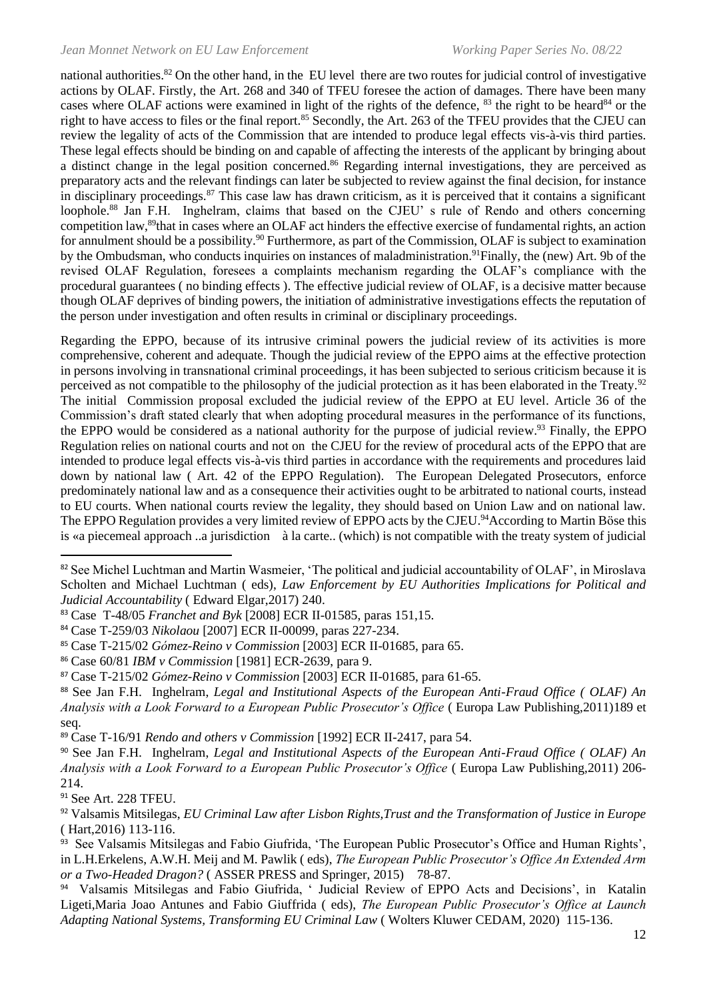national authorities.<sup>82</sup> On the other hand, in the EU level there are two routes for judicial control of investigative actions by OLAF. Firstly, the Art. 268 and 340 of TFEU foresee the action of damages. There have been many cases where OLAF actions were examined in light of the rights of the defence,  $83$  the right to be heard  $84$  or the right to have access to files or the final report.<sup>85</sup> Secondly, the Art. 263 of the TFEU provides that the CJEU can review the legality of acts of the Commission that are intended to produce legal effects vis-à-vis third parties. These legal effects should be binding on and capable of affecting the interests of the applicant by bringing about a distinct change in the legal position concerned.<sup>86</sup> Regarding internal investigations, they are perceived as preparatory acts and the relevant findings can later be subjected to review against the final decision, for instance in disciplinary proceedings.<sup>87</sup> This case law has drawn criticism, as it is perceived that it contains a significant loophole.<sup>88</sup> Jan F.H. Inghelram, claims that based on the CJEU' s rule of Rendo and others concerning competition law,<sup>89</sup>that in cases where an OLAF act hinders the effective exercise of fundamental rights, an action for annulment should be a possibility.<sup>90</sup> Furthermore, as part of the Commission, OLAF is subject to examination by the Ombudsman, who conducts inquiries on instances of maladministration.<sup>91</sup>Finally, the (new) Art. 9b of the revised OLAF Regulation, foresees a complaints mechanism regarding the OLAF's compliance with the procedural guarantees ( no binding effects ). The effective judicial review of OLAF, is a decisive matter because though OLAF deprives of binding powers, the initiation of administrative investigations effects the reputation of the person under investigation and often results in criminal or disciplinary proceedings.

Regarding the EPPO, because of its intrusive criminal powers the judicial review of its activities is more comprehensive, coherent and adequate. Though the judicial review of the EPPO aims at the effective protection in persons involving in transnational criminal proceedings, it has been subjected to serious criticism because it is perceived as not compatible to the philosophy of the judicial protection as it has been elaborated in the Treaty.<sup>92</sup> The initial Commission proposal excluded the judicial review of the EPPO at EU level. Article 36 of the Commission's draft stated clearly that when adopting procedural measures in the performance of its functions, the EPPO would be considered as a national authority for the purpose of judicial review.<sup>93</sup> Finally, the EPPO Regulation relies on national courts and not on the CJEU for the review of procedural acts of the EPPO that are intended to produce legal effects vis-à-vis third parties in accordance with the requirements and procedures laid down by national law ( Art. 42 of the EPPO Regulation). The European Delegated Prosecutors, enforce predominately national law and as a consequence their activities ought to be arbitrated to national courts, instead to EU courts. When national courts review the legality, they should based on Union Law and on national law. The EPPO Regulation provides a very limited review of EPPO acts by the CJEU.<sup>94</sup>According to Martin Böse this is «a piecemeal approach ..a jurisdiction à la carte.. (which) is not compatible with the treaty system of judicial

<sup>82</sup> See Michel Luchtman and Martin Wasmeier, 'The political and judicial accountability of OLAF', in Miroslava Scholten and Michael Luchtman ( eds), *Law Enforcement by EU Authorities Implications for Political and Judicial Accountability* ( Edward Elgar,2017) 240.

<sup>83</sup> Case T-48/05 *Franchet and Byk* [2008] ECR II-01585, paras 151,15.

<sup>84</sup> Case T-259/03 *Nikolaou* [2007] ECR II-00099, paras 227-234.

<sup>85</sup> Case T-215/02 *Gόmez-Reino v Commission* [2003] ECR II-01685, para 65.

<sup>86</sup> Case 60/81 *IBM v Commission* [1981] ECR-2639, para 9.

<sup>87</sup> Case T-215/02 *Gόmez-Reino v Commission* [2003] ECR II-01685, para 61-65.

<sup>88</sup> See Jan F.H. Inghelram, *Legal and Institutional Aspects of the European Anti-Fraud Office ( OLAF) An Analysis with a Look Forward to a European Public Prosecutor's Office* ( Europa Law Publishing,2011)189 et seq.

<sup>89</sup> Case T-16/91 *Rendo and others v Commission* [1992] ECR II-2417, para 54.

<sup>90</sup> See Jan F.H. Inghelram, *Legal and Institutional Aspects of the European Anti-Fraud Office ( OLAF) An Analysis with a Look Forward to a European Public Prosecutor's Office* ( Europa Law Publishing,2011) 206- 214.

<sup>91</sup> See Art. 228 TFEU.

<sup>92</sup> Valsamis Mitsilegas, *EU Criminal Law after Lisbon Rights,Trust and the Transformation of Justice in Europe*  ( Hart,2016) 113-116.

<sup>93</sup> See Valsamis Mitsilegas and Fabio Giufrida, 'The European Public Prosecutor's Office and Human Rights', in L.H.Erkelens, A.W.H. Meij and M. Pawlik ( eds), *The European Public Prosecutor's Office An Extended Arm or a Two-Headed Dragon?* ( ASSER PRESS and Springer, 2015) 78-87.

<sup>94</sup> Valsamis Mitsilegas and Fabio Giufrida, ' Judicial Review of EPPO Acts and Decisions', in Katalin Ligeti,Maria Joao Antunes and Fabio Giuffrida ( eds), *The European Public Prosecutor's Office at Launch Adapting National Systems, Transforming EU Criminal Law* ( Wolters Kluwer CEDAM, 2020) 115-136.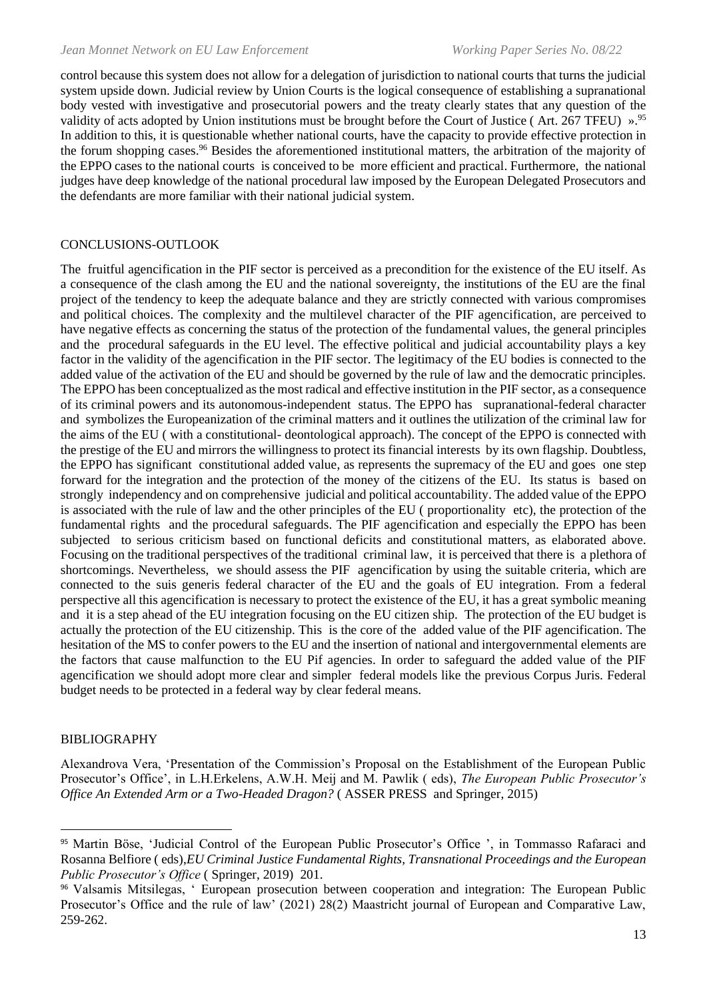control because this system does not allow for a delegation of jurisdiction to national courts that turns the judicial system upside down. Judicial review by Union Courts is the logical consequence of establishing a supranational body vested with investigative and prosecutorial powers and the treaty clearly states that any question of the validity of acts adopted by Union institutions must be brought before the Court of Justice (Art. 267 TFEU) ».<sup>95</sup> In addition to this, it is questionable whether national courts, have the capacity to provide effective protection in the forum shopping cases.<sup>96</sup> Besides the aforementioned institutional matters, the arbitration of the majority of the EPPO cases to the national courts is conceived to be more efficient and practical. Furthermore, the national judges have deep knowledge of the national procedural law imposed by the European Delegated Prosecutors and the defendants are more familiar with their national judicial system.

#### CONCLUSIONS-OUTLOOK

The fruitful agencification in the PIF sector is perceived as a precondition for the existence of the EU itself. As a consequence of the clash among the EU and the national sovereignty, the institutions of the EU are the final project of the tendency to keep the adequate balance and they are strictly connected with various compromises and political choices. The complexity and the multilevel character of the PIF agencification, are perceived to have negative effects as concerning the status of the protection of the fundamental values, the general principles and the procedural safeguards in the EU level. The effective political and judicial accountability plays a key factor in the validity of the agencification in the PIF sector. The legitimacy of the EU bodies is connected to the added value of the activation of the EU and should be governed by the rule of law and the democratic principles. The EPPO has been conceptualized as the most radical and effective institution in the PIF sector, as a consequence of its criminal powers and its autonomous-independent status. The EPPO has supranational-federal character and symbolizes the Europeanization of the criminal matters and it outlines the utilization of the criminal law for the aims of the EU ( with a constitutional- deontological approach). The concept of the EPPO is connected with the prestige of the EU and mirrors the willingness to protect its financial interests by its own flagship. Doubtless, the EPPO has significant constitutional added value, as represents the supremacy of the EU and goes one step forward for the integration and the protection of the money of the citizens of the EU. Its status is based on strongly independency and on comprehensive judicial and political accountability. The added value of the EPPO is associated with the rule of law and the other principles of the EU ( proportionality etc), the protection of the fundamental rights and the procedural safeguards. The PIF agencification and especially the EPPO has been subjected to serious criticism based on functional deficits and constitutional matters, as elaborated above. Focusing on the traditional perspectives of the traditional criminal law, it is perceived that there is a plethora of shortcomings. Nevertheless, we should assess the PIF agencification by using the suitable criteria, which are connected to the suis generis federal character of the EU and the goals of EU integration. From a federal perspective all this agencification is necessary to protect the existence of the EU, it has a great symbolic meaning and it is a step ahead of the EU integration focusing on the EU citizen ship. The protection of the EU budget is actually the protection of the EU citizenship. This is the core of the added value of the PIF agencification. The hesitation of the MS to confer powers to the EU and the insertion of national and intergovernmental elements are the factors that cause malfunction to the EU Pif agencies. In order to safeguard the added value of the PIF agencification we should adopt more clear and simpler federal models like the previous Corpus Juris. Federal budget needs to be protected in a federal way by clear federal means.

#### BIBLIOGRAPHY

Alexandrova Vera, 'Presentation of the Commission's Proposal on the Establishment of the European Public Prosecutor's Office', in L.H.Erkelens, A.W.H. Meij and M. Pawlik ( eds), *The European Public Prosecutor's Office An Extended Arm or a Two-Headed Dragon?* ( ASSER PRESS and Springer, 2015)

<sup>95</sup> Martin Böse, 'Judicial Control of the European Public Prosecutor's Office ', in Tommasso Rafaraci and Rosanna Belfiore ( eds),*EU Criminal Justice Fundamental Rights, Transnational Proceedings and the European Public Prosecutor's Office* ( Springer, 2019) 201.

<sup>96</sup> Valsamis Mitsilegas, ' European prosecution between cooperation and integration: The European Public Prosecutor's Office and the rule of law' (2021) 28(2) Maastricht journal of European and Comparative Law, 259-262.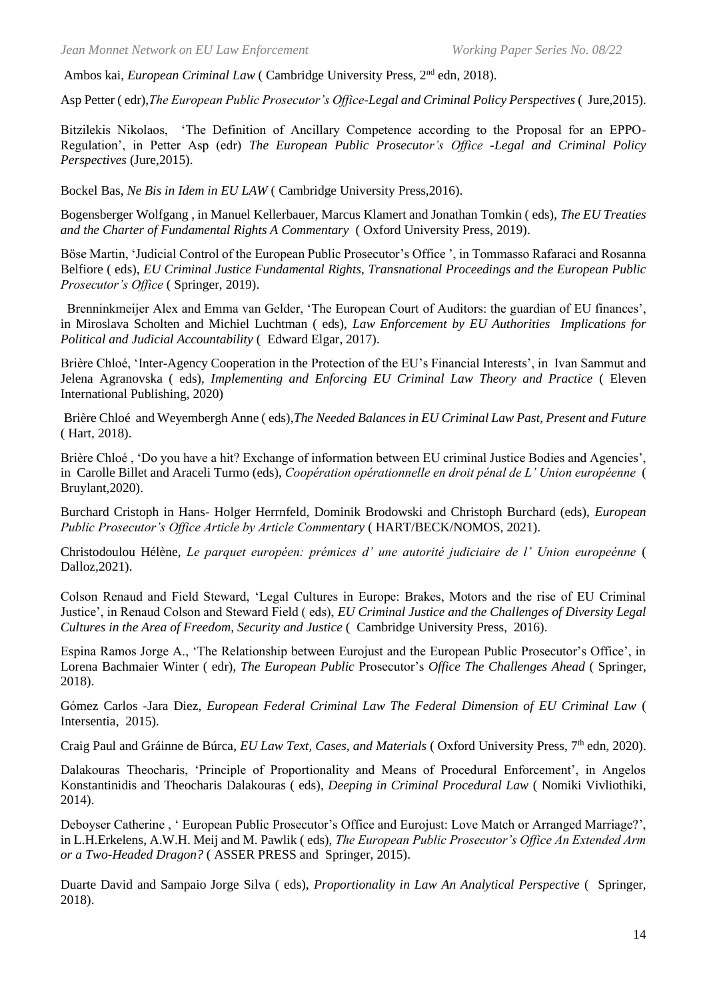Ambos kai, *European Criminal Law* ( Cambridge University Press, 2<sup>nd</sup> edn, 2018).

Asp Petter ( edr),*The European Public Prosecutor's Office-Legal and Criminal Policy Perspectives* ( Jure,2015).

Bitzilekis Nikolaos, 'The Definition of Ancillary Competence according to the Proposal for an EPPO-Regulation', in Petter Asp (edr) *The European Public Prosecutor's Office -Legal and Criminal Policy Perspectives* (Jure,2015).

Bockel Bas, *Ne Bis in Idem in EU LAW* ( Cambridge University Press,2016).

Bogensberger Wolfgang , in Manuel Kellerbauer, Marcus Klamert and Jonathan Tomkin ( eds), *The EU Treaties and the Charter of Fundamental Rights A Commentary* ( Oxford University Press, 2019).

Böse Martin, 'Judicial Control of the European Public Prosecutor's Office ', in Tommasso Rafaraci and Rosanna Belfiore ( eds), *EU Criminal Justice Fundamental Rights, Transnational Proceedings and the European Public Prosecutor's Office* ( Springer, 2019).

Brenninkmeijer Alex and Emma van Gelder, 'The European Court of Auditors: the guardian of EU finances', in Miroslava Scholten and Michiel Luchtman ( eds), *Law Enforcement by EU Authorities Implications for Political and Judicial Accountability* ( Edward Elgar, 2017).

Brière Chloé, 'Inter-Agency Cooperation in the Protection of the EU's Financial Interests', in Ivan Sammut and Jelena Agranovska ( eds), *Implementing and Enforcing EU Criminal Law Theory and Practice* ( Eleven International Publishing, 2020)

Brière Chloé and Weyembergh Anne ( eds),*The Needed Balances in EU Criminal Law Past, Present and Future*  ( Hart, 2018).

Brière Chloé , 'Do you have a hit? Exchange of information between EU criminal Justice Bodies and Agencies', in Carolle Billet and Araceli Turmo (eds), *Coopération opérationnelle en droit pénal de L' Union européenne* ( Bruylant,2020).

Burchard Cristoph in Hans- Holger Herrnfeld, Dominik Brodowski and Christoph Burchard (eds), *European Public Prosecutor's Office Article by Article Commentary* ( HART/BECK/NOMOS, 2021).

Christodoulou Hélène, *Le parquet européen: prémices d' une autorité judiciaire de l' Union europeénne* ( Dalloz,2021).

Colson Renaud and Field Steward, 'Legal Cultures in Europe: Brakes, Motors and the rise of EU Criminal Justice', in Renaud Colson and Steward Field ( eds), *EU Criminal Justice and the Challenges of Diversity Legal Cultures in the Area of Freedom, Security and Justice* ( Cambridge University Press, 2016).

Espina Ramos Jorge A., 'The Relationship between Eurojust and the European Public Prosecutor's Office', in Lorena Bachmaier Winter ( edr), *The European Public* Prosecutor's *Office The Challenges Ahead* ( Springer, 2018).

Gόmez Carlos -Jara Diez, *European Federal Criminal Law The Federal Dimension of EU Criminal Law* ( Intersentia, 2015).

Craig Paul and Gráinne de Búrca, *EU Law Text, Cases, and Materials* ( Oxford University Press, 7th edn, 2020).

Dalakouras Theocharis, 'Principle of Proportionality and Means of Procedural Enforcement', in Angelos Konstantinidis and Theocharis Dalakouras ( eds), *Deeping in Criminal Procedural Law* ( Nomiki Vivliothiki, 2014).

Deboyser Catherine, ' European Public Prosecutor's Office and Eurojust: Love Match or Arranged Marriage?', in L.H.Erkelens, A.W.H. Meij and M. Pawlik ( eds), *The European Public Prosecutor's Office An Extended Arm or a Two-Headed Dragon?* ( ASSER PRESS and Springer, 2015).

Duarte David and Sampaio Jorge Silva ( eds), *Proportionality in Law An Analytical Perspective* ( Springer, 2018).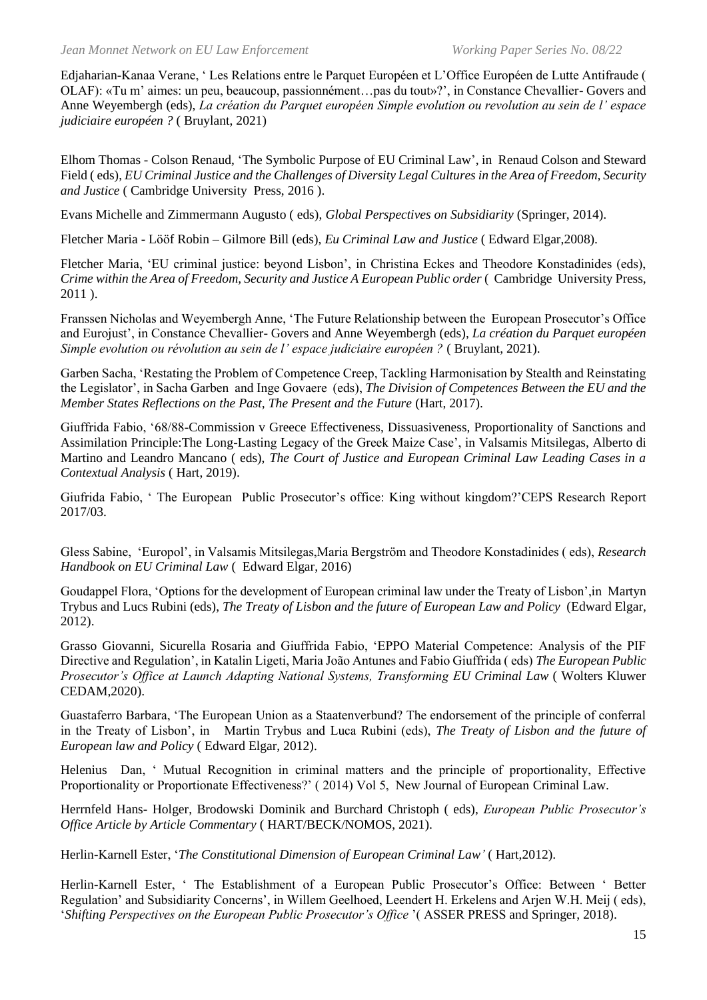Edjaharian-Kanaa Verane, ' Les Relations entre le Parquet Européen et L'Office Européen de Lutte Antifraude ( OLAF): «Tu m' aimes: un peu, beaucoup, passionnément…pas du tout»?', in Constance Chevallier- Govers and Anne Weyembergh (eds), *La création du Parquet européen Simple evolution ou revolution au sein de l' espace judiciaire européen ?* ( Bruylant, 2021)

Elhom Thomas - Colson Renaud, 'The Symbolic Purpose of EU Criminal Law', in Renaud Colson and Steward Field ( eds), *EU Criminal Justice and the Challenges of Diversity Legal Cultures in the Area of Freedom, Security and Justice* ( Cambridge University Press, 2016 ).

Evans Michelle and Zimmermann Augusto ( eds), *Global Perspectives on Subsidiarity* (Springer, 2014).

Fletcher Maria - Lӧӧf Robin – Gilmore Bill (eds), *Eu Criminal Law and Justice* ( Edward Elgar,2008).

Fletcher Μaria, 'EU criminal justice: beyond Lisbon', in Christina Eckes and Theodore Konstadinides (eds), *Crime within the Area of Freedom, Security and Justice A European Public order* ( Cambridge University Press, 2011 ).

Franssen Nicholas and Weyembergh Anne, 'The Future Relationship between the European Prosecutor's Office and Eurojust', in Constance Chevallier- Govers and Anne Weyembergh (eds), *La création du Parquet européen Simple evolution ou révolution au sein de l' espace judiciaire européen ?* ( Bruylant, 2021).

Garben Sacha, 'Restating the Problem of Competence Creep, Tackling Harmonisation by Stealth and Reinstating the Legislator', in Sacha Garben and Inge Govaere (eds), *The Division of Competences Between the EU and the Member States Reflections on the Past, The Present and the Future* (Hart, 2017).

Giuffrida Fabio, '68/88-Commission v Greece Effectiveness, Dissuasiveness, Proportionality of Sanctions and Assimilation Principle:The Long-Lasting Legacy of the Greek Maize Case', in Valsamis Mitsilegas, Alberto di Martino and Leandro Mancano ( eds), *The Court of Justice and European Criminal Law Leading Cases in a Contextual Analysis* ( Hart, 2019).

Giufrida Fabio, ' The European Public Prosecutor's office: King without kingdom?'CEPS Research Report 2017/03.

Gless Sabine, 'Europol', in Valsamis Mitsilegas,Maria Bergstrӧm and Theodore Konstadinides ( eds), *Research Handbook on EU Criminal Law* ( Edward Elgar, 2016)

Goudappel Flora, 'Options for the development of European criminal law under the Treaty of Lisbon',in Μartyn Trybus and Lucs Rubini (eds), *The Treaty of Lisbon and the future of European Law and Policy* (Edward Elgar, 2012).

Grasso Giovanni, Sicurella Rosaria and Giuffrida Fabio, 'EPPO Material Competence: Analysis of the PIF Directive and Regulation', in Katalin Ligeti, Maria João Antunes and Fabio Giuffrida ( eds) *The European Public Prosecutor's Office at Launch Adapting National Systems, Transforming EU Criminal Law* ( Wolters Kluwer CEDAM,2020).

Guastaferro Barbara, 'The European Union as a Staatenverbund? The endorsement of the principle of conferral in the Treaty of Lisbon', in Martin Trybus and Luca Rubini (eds), *The Treaty of Lisbon and the future of European law and Policy* ( Edward Elgar, 2012).

Helenius Dan, ' Mutual Recognition in criminal matters and the principle of proportionality, Effective Proportionality or Proportionate Effectiveness?' ( 2014) Vol 5, New Journal of European Criminal Law.

Herrnfeld Hans- Holger, Brodowski Dominik and Burchard Christoph ( eds), *European Public Prosecutor's Office Article by Article Commentary* ( HART/BECK/NOMOS, 2021).

Herlin-Karnell Ester, '*The Constitutional Dimension of European Criminal Law'* ( Hart,2012).

Herlin-Karnell Ester, ' The Establishment of a European Public Prosecutor's Office: Between ' Better Regulation' and Subsidiarity Concerns', in Willem Geelhoed, Leendert H. Erkelens and Arjen W.H. Meij ( eds), '*Shifting Perspectives on the European Public Prosecutor's Office* '( ASSER PRESS and Springer, 2018).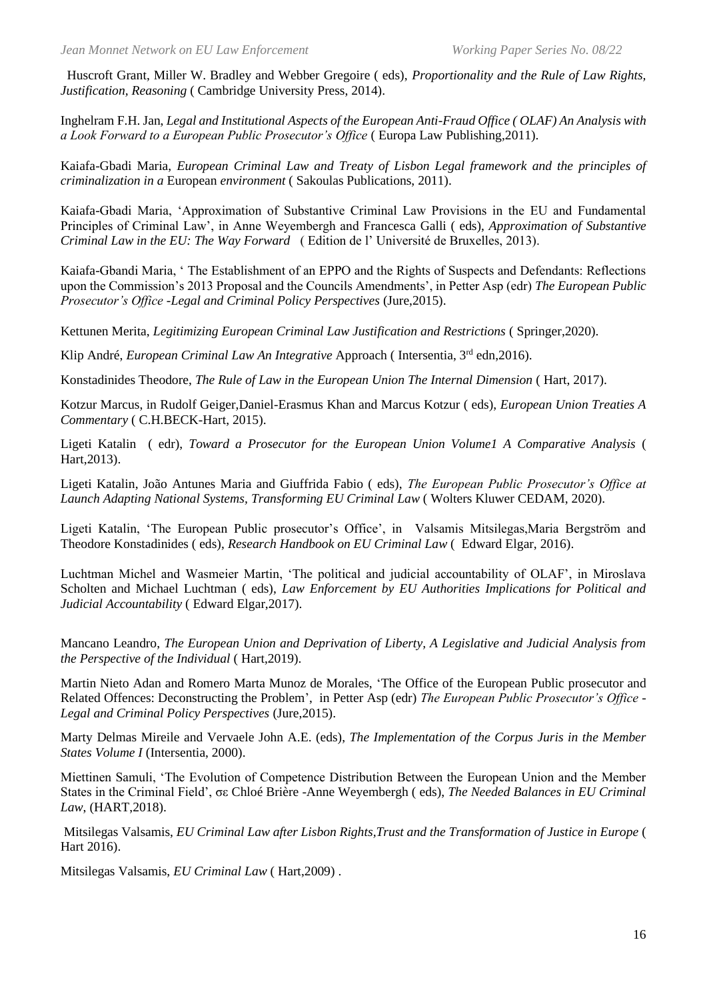Huscroft Grant, Miller W. Bradley and Webber Gregoire ( eds), *Proportionality and the Rule of Law Rights, Justification, Reasoning* ( Cambridge University Press, 2014).

Inghelram F.H. Jan, *Legal and Institutional Aspects of the European Anti-Fraud Office ( OLAF) An Analysis with a Look Forward to a European Public Prosecutor's Office* ( Europa Law Publishing,2011).

Kaiafa-Gbadi Maria, *European Criminal Law and Treaty of Lisbon Legal framework and the principles of criminalization in a* European *environment* ( Sakoulas Publications, 2011).

Kaiafa-Gbadi Maria, 'Approximation of Substantive Criminal Law Provisions in the EU and Fundamental Principles of Criminal Law', in Anne Weyembergh and Francesca Galli ( eds), *Approximation of Substantive Criminal Law in the EU: The Way Forward* ( Edition de l' Université de Bruxelles, 2013).

Kaiafa-Gbandi Maria, ' The Establishment of an EPPO and the Rights of Suspects and Defendants: Reflections upon the Commission's 2013 Proposal and the Councils Amendments', in Petter Asp (edr) *The European Public Prosecutor's Office -Legal and Criminal Policy Perspectives* (Jure,2015).

Kettunen Merita, *Legitimizing European Criminal Law Justification and Restrictions* ( Springer,2020).

Klip André, *European Criminal Law An Integrative Approach* (Intersentia, 3<sup>rd</sup> edn.2016).

Konstadinides Theodore, *The Rule of Law in the European Union The Internal Dimension* (Hart, 2017).

Kotzur Marcus, in Rudolf Geiger,Daniel-Erasmus Khan and Marcus Kotzur ( eds), *European Union Treaties A Commentary* ( C.H.BECK-Hart, 2015).

Ligeti Katalin ( edr), *Toward a Prosecutor for the European Union Volume1 A Comparative Analysis* ( Hart,2013).

Ligeti Katalin, João Antunes Maria and Giuffrida Fabio ( eds), *The European Public Prosecutor's Office at Launch Adapting National Systems, Transforming EU Criminal Law* ( Wolters Kluwer CEDAM, 2020).

Ligeti Katalin, 'The European Public prosecutor's Office', in Valsamis Mitsilegas,Maria Bergström and Theodore Konstadinides ( eds), *Research Handbook on EU Criminal Law* ( Edward Elgar, 2016).

Luchtman Michel and Wasmeier Martin, 'The political and judicial accountability of OLAF', in Miroslava Scholten and Michael Luchtman ( eds), *Law Enforcement by EU Authorities Implications for Political and Judicial Accountability* ( Edward Elgar,2017).

Mancano Leandro, *The European Union and Deprivation of Liberty, A Legislative and Judicial Analysis from the Perspective of the Individual* ( Hart,2019).

Martin Nieto Adan and Romero Marta Munoz de Morales, 'The Office of the European Public prosecutor and Related Offences: Deconstructing the Problem', in Petter Asp (edr) *The European Public Prosecutor's Office - Legal and Criminal Policy Perspectives* (Jure,2015).

Marty Delmas Mireile and Vervaele John A.E. (eds), *The Implementation of the Corpus Juris in the Member States Volume I* (Intersentia, 2000).

Miettinen Samuli, 'The Evolution of Competence Distribution Between the European Union and the Member States in the Criminal Field', σε Chloé Brière -Anne Weyembergh ( eds), *The Needed Balances in EU Criminal Law*, (HART,2018).

Mitsilegas Valsamis, *EU Criminal Law after Lisbon Rights,Trust and the Transformation of Justice in Europe* ( Hart 2016).

Mitsilegas Valsamis, *EU Criminal Law* ( Hart,2009) .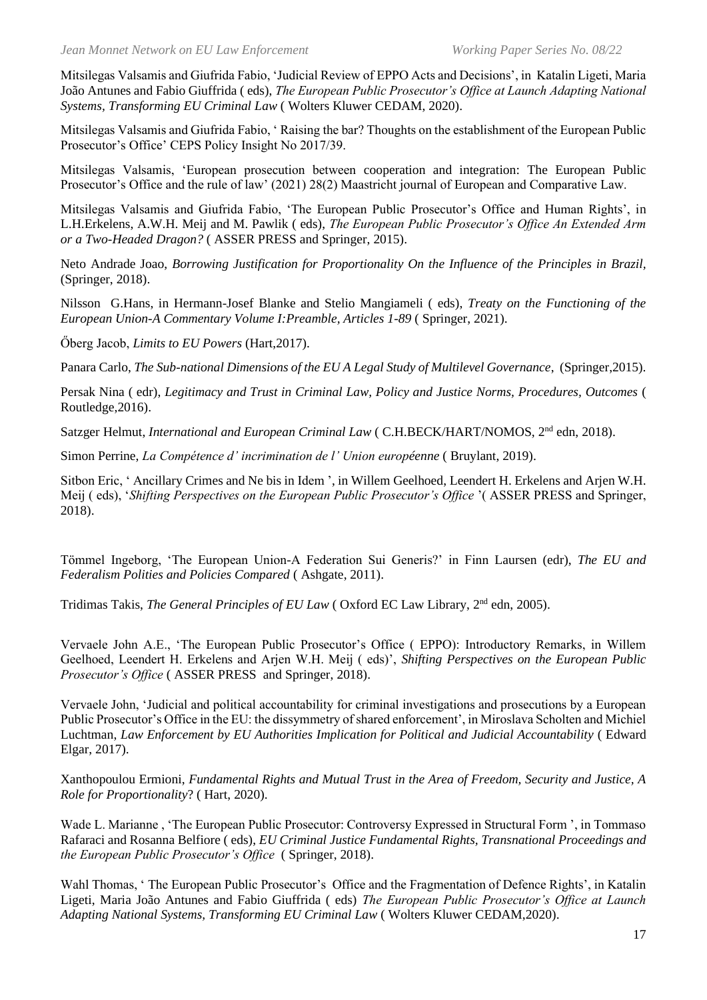Mitsilegas Valsamis and Giufrida Fabio, 'Judicial Review of EPPO Acts and Decisions', in Katalin Ligeti, Maria João Antunes and Fabio Giuffrida ( eds), *The European Public Prosecutor's Office at Launch Adapting National Systems, Transforming EU Criminal Law* ( Wolters Kluwer CEDAM, 2020).

Mitsilegas Valsamis and Giufrida Fabio, ' Raising the bar? Thoughts on the establishment of the European Public Prosecutor's Office' CEPS Policy Insight No 2017/39.

Mitsilegas Valsamis, 'European prosecution between cooperation and integration: The European Public Prosecutor's Office and the rule of law' (2021) 28(2) Maastricht journal of European and Comparative Law.

Mitsilegas Valsamis and Giufrida Fabio, 'The European Public Prosecutor's Office and Human Rights', in L.H.Erkelens, A.W.H. Meij and M. Pawlik ( eds), *The European Public Prosecutor's Office An Extended Arm or a Two-Headed Dragon?* ( ASSER PRESS and Springer, 2015).

Neto Andrade Joao, *Borrowing Justification for Proportionality On the Influence of the Principles in Brazil,* (Springer, 2018).

Nilsson G.Hans, in Ηermann-Josef Blanke and Stelio Mangiameli ( eds), *Treaty on the Functioning of the European Union-A Commentary Volume I:Preamble, Articles 1-89* ( Springer, 2021).

Őberg Jacob, *Limits to EU Powers* (Hart,2017).

Panara Carlo, *The Sub-national Dimensions of the EU A Legal Study of Multilevel Governance*, (Springer,2015).

Persak Nina ( edr), *Legitimacy and Trust in Criminal Law, Policy and Justice Norms, Procedures, Outcomes* ( Routledge,2016).

Satzger Helmut, *International and European Criminal Law* ( C.H.BECK/HART/NOMOS, 2nd edn, 2018).

Simon Perrine, *La Compétence d' incrimination de l' Union européenne* ( Bruylant, 2019).

Sitbon Eric, ' Ancillary Crimes and Ne bis in Idem ', in Willem Geelhoed, Leendert H. Erkelens and Arjen W.H. Meij ( eds), '*Shifting Perspectives on the European Public Prosecutor's Office* '( ASSER PRESS and Springer, 2018).

Tömmel Ingeborg, 'The European Union-A Federation Sui Generis?' in Finn Laursen (edr), *The EU and Federalism Polities and Policies Compared* ( Ashgate, 2011).

Tridimas Takis, *The General Principles of EU Law* ( Oxford EC Law Library, 2nd edn, 2005).

Vervaele John A.E., 'The European Public Prosecutor's Office ( EPPO): Introductory Remarks, in Willem Geelhoed, Leendert H. Erkelens and Arjen W.H. Meij ( eds)', *Shifting Perspectives on the European Public Prosecutor's Office* ( ASSER PRESS and Springer, 2018).

Vervaele John, 'Judicial and political accountability for criminal investigations and prosecutions by a European Public Prosecutor's Office in the EU: the dissymmetry of shared enforcement', in Miroslava Scholten and Michiel Luchtman, *Law Enforcement by EU Authorities Implication for Political and Judicial Accountability* ( Edward Elgar, 2017).

Xanthopoulou Ermioni, *Fundamental Rights and Mutual Trust in the Area of Freedom, Security and Justice, A Role for Proportionality*? ( Hart, 2020).

Wade L. Marianne , 'The European Public Prosecutor: Controversy Expressed in Structural Form ', in Tommaso Rafaraci and Rosanna Belfiore ( eds), *EU Criminal Justice Fundamental Rights, Transnational Proceedings and the European Public Prosecutor's Office* ( Springer, 2018).

Wahl Thomas, ' The European Public Prosecutor's Office and the Fragmentation of Defence Rights', in Katalin Ligeti, Maria João Antunes and Fabio Giuffrida ( eds) *The European Public Prosecutor's Office at Launch Adapting National Systems, Transforming EU Criminal Law* ( Wolters Kluwer CEDAM,2020).